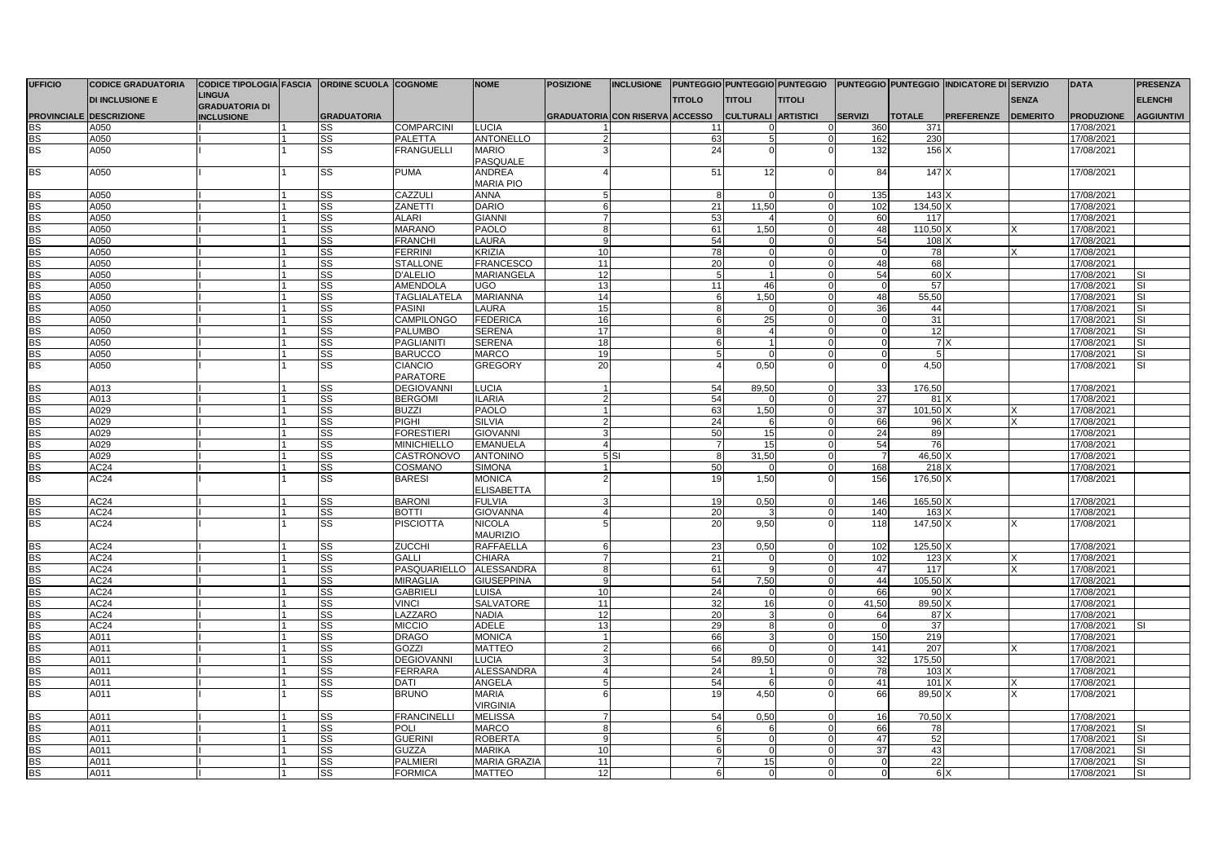| <b>UFFICIO</b> | <b>CODICE GRADUATORIA</b>      | CODICE TIPOLOGIA FASCIA ORDINE SCUOLA COGNOME |                        |                            | <b>NOME</b>                        | <b>POSIZIONE</b>                | <b>INCLUSIONE</b> |                  |                            |               |                |               | PUNTEGGIO PUNTEGGIO PUNTEGGIO PUNTEGGIO PUNTEGGIO INDICATORE DI SERVIZIO |                 | <b>DATA</b>       | <b>PRESENZA</b>          |
|----------------|--------------------------------|-----------------------------------------------|------------------------|----------------------------|------------------------------------|---------------------------------|-------------------|------------------|----------------------------|---------------|----------------|---------------|--------------------------------------------------------------------------|-----------------|-------------------|--------------------------|
|                | <b>DI INCLUSIONE E</b>         | <b>LINGUA</b><br><b>GRADUATORIA DI</b>        |                        |                            |                                    |                                 |                   | <b>TITOLO</b>    | <b>TITOLI</b>              | <b>TITOLI</b> |                |               |                                                                          | <b>SENZA</b>    |                   | <b>ELENCHI</b>           |
|                | <b>PROVINCIALE DESCRIZIONE</b> | <b>INCLUSIONE</b>                             | <b>GRADUATORIA</b>     |                            |                                    | GRADUATORIA CON RISERVA ACCESSO |                   |                  | <b>CULTURALI ARTISTICI</b> |               | <b>SERVIZI</b> | <b>TOTALE</b> | PREFERENZE                                                               | <b>DEMERITO</b> | <b>PRODUZIONE</b> | <b>AGGIUNTIVI</b>        |
| <b>BS</b>      | A050                           |                                               | SS                     | <b>COMPARCINI</b>          | <b>LUCIA</b>                       |                                 |                   | 11               |                            |               | 360            | 371           |                                                                          |                 | 17/08/2021        |                          |
| <b>BS</b>      | A050                           |                                               | SS                     | <b>PALETTA</b>             | ANTONELLO                          |                                 |                   | 63               |                            |               | 162            | 230           |                                                                          |                 | 17/08/2021        |                          |
| BS             | A050                           |                                               | SS                     | <b>FRANGUELLI</b>          | <b>MARIO</b><br>PASQUALE           |                                 |                   | 24               |                            |               | 132            | 156           |                                                                          |                 | 17/08/2021        |                          |
| BS             | A050                           |                                               | SS                     | <b>PUMA</b>                | ANDREA<br><b>MARIA PIO</b>         |                                 |                   | 51               | 12                         |               | 84             | 147 X         |                                                                          |                 | 17/08/2021        |                          |
| <b>BS</b>      | A050                           |                                               | <b>SS</b>              | CAZZULI                    | <b>ANNA</b>                        |                                 |                   | -8               |                            |               | 135            | $143 \lambda$ |                                                                          |                 | 17/08/2021        |                          |
| BS             | A050                           |                                               | SS                     | ZANETTI                    | <b>DARIO</b>                       | 6                               |                   | 21               | 11.50                      |               | 102            | 134.50        |                                                                          |                 | 17/08/2021        |                          |
| BS             | A050                           |                                               | SS                     | <b>ALARI</b>               | <b>GIANNI</b>                      |                                 |                   | 53               |                            |               | 60             | 117           |                                                                          |                 | 17/08/2021        |                          |
| BS             | A050                           |                                               | SS                     | <b>MARANO</b>              | PAOLO                              | 8                               |                   | 61               | 1,50                       |               | 48             | 110,50        |                                                                          |                 | 17/08/2021        |                          |
| BS             | A050                           |                                               | SS                     | <b>FRANCHI</b>             | <b>LAURA</b>                       | 9                               |                   | 54               |                            | $\Omega$      | 54             | 108           |                                                                          |                 | 17/08/2021        |                          |
| <b>BS</b>      | A050                           |                                               | SS                     | <b>FERRINI</b>             | <b>KRIZIA</b>                      | 10                              |                   | 78               |                            |               | $\Omega$       | 78            |                                                                          |                 | 17/08/2021        |                          |
| BS             | A050                           |                                               | <b>SS</b>              | <b>STALLONE</b>            | <b>FRANCESCO</b>                   | 11                              |                   | 20               |                            |               | 48             | 68            |                                                                          |                 | 17/08/2021        |                          |
| <b>BS</b>      | A050                           |                                               | $\overline{\text{ss}}$ | <b>D'ALELIO</b>            | <b>MARIANGELA</b>                  | 12                              |                   | $\overline{5}$   |                            |               | 54             | 60            |                                                                          |                 | 17/08/2021        | SI                       |
| <b>BS</b>      | A050                           |                                               | SS                     | <b>AMENDOLA</b>            | <b>UGO</b>                         | 13                              |                   | 11               | 46                         |               | $\Omega$       | 57            |                                                                          |                 | 17/08/2021        | SI                       |
| BS             | A050                           |                                               | SS                     | TAGLIALATELA               | <b>MARIANNA</b>                    | 14                              |                   | 6                | 1,50                       |               | 48             | 55,50         |                                                                          |                 | 17/08/2021        | SI                       |
| BS             | A050                           |                                               | SS                     | <b>PASINI</b>              | LAURA                              | 15                              |                   | 8                |                            |               | 36             | 44            |                                                                          |                 | 17/08/2021        | SI                       |
| BS             | A050                           |                                               | <b>SS</b>              | <b>CAMPILONGO</b>          | <b>FEDERICA</b>                    | 16                              |                   | $6 \overline{6}$ | 25                         |               | $\Omega$       | 31            |                                                                          |                 | 17/08/2021        | <b>SI</b>                |
| <b>BS</b>      | A050                           |                                               | SS                     | <b>PALUMBO</b>             | <b>SERENA</b>                      | 17                              |                   | 8                |                            |               | $\Omega$       | 12            |                                                                          |                 | 17/08/2021        | $\overline{\mathbf{S}}$  |
| BS             | A050                           |                                               | SS                     | PAGLIANIT                  | <b>SERENA</b>                      | 18                              |                   | $6 \overline{6}$ |                            |               | $\Omega$       | 7)            |                                                                          |                 | 17/08/2021        | SI                       |
| <b>BS</b>      | A050                           |                                               | $\overline{\text{ss}}$ | <b>BARUCCO</b>             | <b>MARCO</b>                       | 19                              |                   | 5                |                            |               |                | 5             |                                                                          |                 | 17/08/2021        | $\overline{\mathsf{SI}}$ |
| BS             | A050                           |                                               | SS                     | <b>CIANCIO</b><br>PARATORE | <b>GREGORY</b>                     | 20                              |                   | $\overline{4}$   | 0,50                       |               |                | 4,50          |                                                                          |                 | 17/08/2021        | SI                       |
| <b>BS</b>      | A013                           |                                               | SS                     | <b>DEGIOVANNI</b>          | <b>LUCIA</b>                       |                                 |                   | 54               | 89,50                      | $\Omega$      | 33             | 176,50        |                                                                          |                 | 17/08/2021        |                          |
| BS             | A013                           |                                               | <b>SS</b>              | <b>BERGOMI</b>             | <b>ILARIA</b>                      | $\mathcal{P}$                   |                   | 54               |                            | $\Omega$      | 27             | $81 \times$   |                                                                          |                 | 17/08/2021        |                          |
| <b>BS</b>      | A029                           |                                               | SS                     | <b>BUZZI</b>               | <b>PAOLO</b>                       |                                 |                   | 63               | 1,50                       |               | 37             | 101,50        |                                                                          |                 | 17/08/2021        |                          |
| BS             | A029                           |                                               | SS                     | <b>PIGHI</b>               | <b>SILVIA</b>                      |                                 |                   | 24               |                            |               | 66             | 96            |                                                                          |                 | 17/08/2021        |                          |
| <b>BS</b>      | A029                           |                                               | SS                     | <b>FORESTIERI</b>          | <b>GIOVANNI</b>                    |                                 |                   | 50               | 15                         |               | 24             | 89            |                                                                          |                 | 17/08/2021        |                          |
| <b>BS</b>      | A029                           |                                               | SS                     | <b>MINICHIELLO</b>         | <b>EMANUELA</b>                    |                                 |                   | $\overline{7}$   | 15                         |               | 54             | 76            |                                                                          |                 | 17/08/2021        |                          |
|                | A029                           |                                               | SS                     | CASTRONOVO                 | <b>ANTONINO</b>                    |                                 | 5S                | 8 <sup>1</sup>   | 31,50                      |               | $\overline{7}$ | 46,50 >       |                                                                          |                 | 17/08/2021        |                          |
| $rac{BS}{BS}$  | AC <sub>24</sub>               |                                               | SS                     | COSMANO                    | <b>SIMONA</b>                      |                                 |                   | 50               |                            |               | 168            | 218 X         |                                                                          |                 | 17/08/2021        |                          |
| <b>BS</b>      | AC <sub>24</sub>               |                                               | SS                     | <b>BARESI</b>              | <b>MONICA</b><br><b>ELISABETTA</b> |                                 |                   | 19               | 1,50                       |               | 156            | 176,50 X      |                                                                          |                 | 17/08/2021        |                          |
| <b>BS</b>      | AC <sub>24</sub>               |                                               | SS                     | <b>BARON</b>               | <b>FULVIA</b>                      |                                 |                   | 19               | 0,50                       |               | 146            | 165,50        |                                                                          |                 | 17/08/2021        |                          |
| <b>BS</b>      | AC24                           |                                               | SS                     | <b>BOTTI</b>               | <b>GIOVANNA</b>                    |                                 |                   | 20               |                            |               | 140            | 163           |                                                                          |                 | 17/08/2021        |                          |
| <b>BS</b>      | AC24                           |                                               | SS                     | <b>PISCIOTTA</b>           | <b>NICOLA</b><br><b>MAURIZIO</b>   |                                 |                   | 20               | 9,50                       |               | 118            | 147,50 X      |                                                                          |                 | 17/08/2021        |                          |
| <b>BS</b>      | AC24                           |                                               | <b>SS</b>              | <b>ZUCCHI</b>              | <b>RAFFAELLA</b>                   | 6                               |                   | 23               | 0,50                       | $\Omega$      | 102            | 125,50 >      |                                                                          |                 | 17/08/2021        |                          |
| <b>BS</b>      | AC24                           |                                               | SS                     | <b>GALLI</b>               | <b>CHIARA</b>                      |                                 |                   | 21               |                            |               | 102            | 123           |                                                                          |                 | 17/08/2021        |                          |
| <b>BS</b>      | AC24                           |                                               | SS                     | PASQUARIELLO               | <b>ALESSANDRA</b>                  | 8                               |                   | 61               |                            |               | 47             | 117           |                                                                          |                 | 17/08/2021        |                          |
| BS             | AC24                           |                                               | SS                     | <b>MIRAGLIA</b>            | <b>GIUSEPPINA</b>                  | 9                               |                   | 54               | 7,50                       |               | 44             | 105,50        |                                                                          |                 | 17/08/2021        |                          |
| <b>BS</b>      | AC24                           |                                               | SS                     | <b>GABRIELI</b>            | <b>LUISA</b>                       | 10                              |                   | 24               |                            |               | 66             | 90            |                                                                          |                 | 17/08/2021        |                          |
| <b>BS</b>      | AC24                           |                                               | SS                     | <b>VINCI</b>               | SALVATORE                          | 11                              |                   | 32               | 16                         | $\Omega$      | 41.50          | 89,50         |                                                                          |                 | 17/08/2021        |                          |
| BS             | AC24                           |                                               | <b>SS</b>              | LAZZARO                    | <b>NADIA</b>                       | 12                              |                   | 20               |                            |               | 64             | 87)           |                                                                          |                 | 17/08/2021        |                          |
| <b>BS</b>      | AC24                           |                                               | $\overline{\text{ss}}$ | <b>MICCIO</b>              | <b>ADELE</b>                       | 13                              |                   | 29               |                            |               | $\Omega$       | 37            |                                                                          |                 | 17/08/2021        |                          |
| BS             | A011                           |                                               | SS                     | <b>DRAGO</b>               | <b>MONICA</b>                      |                                 |                   | 66               |                            | $\Omega$      | 150            | 219           |                                                                          |                 | 17/08/2021        |                          |
| BS             | A011                           |                                               | <b>SS</b>              | <b>GOZZI</b>               | <b>MATTEO</b>                      |                                 |                   | 66               |                            |               | 141            | 207           |                                                                          |                 | 17/08/2021        |                          |
| BS             | A011                           |                                               | SS                     | <b>DEGIOVANNI</b>          | <b>LUCIA</b>                       |                                 |                   | 54               | 89,50                      |               | 32             | 175,50        |                                                                          |                 | 17/08/2021        |                          |
| BS             | A011                           |                                               | <b>SS</b>              | <b>FERRARA</b>             | ALESSANDRA                         |                                 |                   | 24               |                            | $\Omega$      | 78             | 103           |                                                                          |                 | 17/08/2021        |                          |
| <b>BS</b>      | A011                           |                                               | SS                     | <b>DATI</b>                | ANGELA                             |                                 |                   | 54               |                            |               | 41             | $101 \times$  |                                                                          |                 | 17/08/2021        |                          |
| <b>BS</b>      | A011                           |                                               | SS                     | <b>BRUNO</b>               | <b>MARIA</b><br><b>VIRGINIA</b>    |                                 |                   | 19               | 4,50                       |               | 66             | 89,50 X       |                                                                          |                 | 17/08/2021        |                          |
| <b>BS</b>      | A011                           |                                               | SS                     | <b>FRANCINELLI</b>         | <b>MELISSA</b>                     |                                 |                   | 54               | 0,50                       |               | 16             | 70,50 >       |                                                                          |                 | 17/08/2021        |                          |
| BS             | A011                           |                                               | <b>SS</b>              | <b>POLI</b>                | <b>MARCO</b>                       | $\mathsf{R}$                    |                   | 6                |                            |               | 66             | 78            |                                                                          |                 | 17/08/2021        | SI                       |
| BS             | A011                           |                                               | SS                     | <b>GUERINI</b>             | <b>ROBERTA</b>                     | 9                               |                   | 5                |                            |               | 47             | 52            |                                                                          |                 | 17/08/2021        | SI                       |
| <b>BS</b>      | A011                           |                                               | <b>SS</b>              | <b>GUZZA</b>               | <b>MARIKA</b>                      | 10                              |                   | $6 \overline{6}$ |                            |               | 37             | 43            |                                                                          |                 | 17/08/2021        | <b>SI</b>                |
| BS             | A011                           |                                               | SS                     | <b>PALMIERI</b>            | <b>MARIA GRAZIA</b>                | 11                              |                   | $\overline{7}$   | 15                         |               |                | 22            |                                                                          |                 | 17/08/2021        | SI                       |
| <b>BS</b>      | A011                           |                                               | <b>SS</b>              | <b>FORMICA</b>             | <b>MATTEO</b>                      | 12                              |                   | $6 \overline{6}$ | $\Omega$                   | $\Omega$      | $\mathbf{0}$   | $6 \times$    |                                                                          |                 | 17/08/2021        | SI                       |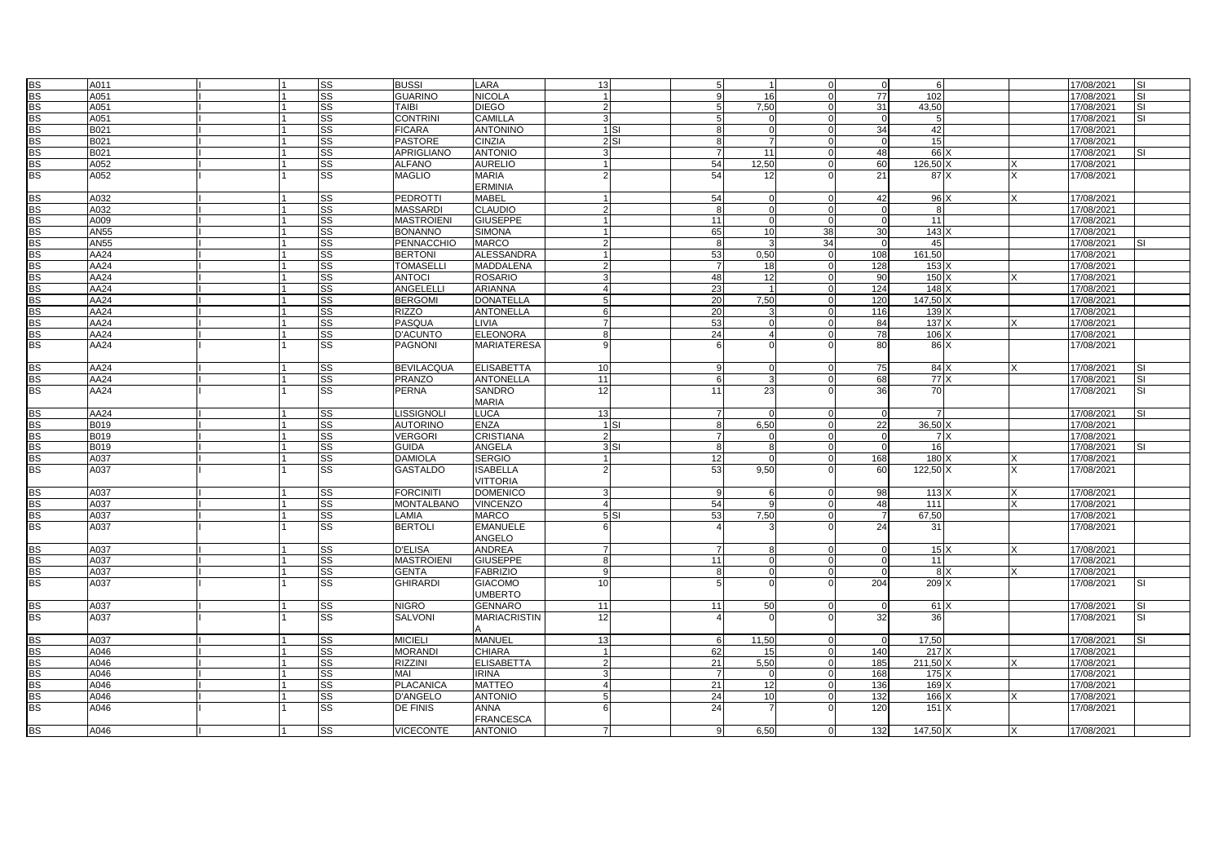| <b>BS</b>              |              |                |                        |                                     |                                    |                        |          |                |                 |          |                 |                  |                           |                          |                         |
|------------------------|--------------|----------------|------------------------|-------------------------------------|------------------------------------|------------------------|----------|----------------|-----------------|----------|-----------------|------------------|---------------------------|--------------------------|-------------------------|
|                        | A011         |                | SS                     | <b>BUSSI</b>                        | LARA                               | 13                     |          | 5              |                 |          | $\mathbf 0$     | 6                |                           | 17/08/2021               | SI                      |
| <b>BS</b>              | A051         |                | SS                     | <b>GUARINO</b>                      | NICOLA                             | $\overline{1}$         |          | $\mathbf{q}$   | 16              |          | 77              | 102              |                           | 17/08/2021               | <b>SI</b>               |
| <b>BS</b>              | A051         |                | $\overline{\text{ss}}$ | TAIBI                               | <b>DIEGO</b>                       | $\overline{2}$         |          | 5              | 7,50            |          | 31              | 43,50            |                           | 17/08/2021               | <b>SI</b>               |
| <b>BS</b>              | A051         | $\overline{1}$ | $\overline{\text{ss}}$ | <b>CONTRINI</b>                     | <b>CAMILLA</b>                     | $\mathbf{z}$           |          | 5              |                 | $\cap$   | $\overline{0}$  | - 5              |                           | 17/08/2021               | <b>SI</b>               |
| <b>BS</b>              | B021         |                | SS                     | <b>FICARA</b>                       | <b>ANTONINO</b>                    |                        | $1$ $SI$ | 8              |                 |          | 34              | 42               |                           | 17/08/2021               |                         |
| <b>BS</b>              | B021         |                | SS                     | <b>PASTORE</b>                      | <b>CINZIA</b>                      |                        | 2SI      | 8              |                 |          | $\Omega$        | 15               |                           | 17/08/2021               |                         |
| BS                     | B021         |                | SS                     | <b>APRIGLIANO</b>                   | <b>ANTONIO</b>                     | $\mathbf{R}$           |          | $\overline{7}$ | 11              |          | 48              | 66 X             |                           | 17/08/2021               |                         |
| <b>BS</b>              | A052         |                | SS                     | <b>ALFANO</b>                       | <b>AURELIO</b>                     |                        |          | 54             | 12,50           |          | 60              | 126,50           |                           | 17/08/2021               |                         |
| <b>BS</b>              | A052         |                | $\overline{\text{SS}}$ | <b>MAGLIO</b>                       | <b>MARIA</b>                       |                        |          | 54             | 12              |          | 21              | 87 X             | x                         | 17/08/2021               |                         |
|                        |              |                |                        |                                     | <b>ERMINIA</b>                     |                        |          |                |                 |          |                 |                  |                           |                          |                         |
| <b>BS</b>              | A032         | l 1            | SS                     | <b>PEDROTTI</b>                     | <b>MABEL</b>                       | $\mathbf{1}$           |          | 54             | O               | $\Omega$ | 42              | 96 X             | $\times$                  | 17/08/2021               |                         |
| <b>BS</b>              | A032         |                | SS                     | <b>MASSARDI</b>                     | CLAUDIO                            | $\mathcal{P}$          |          | 8              |                 |          |                 | 8                |                           | 17/08/2021               |                         |
| <b>BS</b>              | A009         |                | SS                     | <b>MASTROIENI</b>                   | <b>GIUSEPPE</b>                    |                        |          | 11             |                 |          | $\Omega$        | 11               |                           | 17/08/2021               |                         |
| <b>BS</b>              | <b>AN55</b>  |                | $\overline{\text{ss}}$ | <b>BONANNO</b>                      | <b>SIMONA</b>                      |                        |          | 65             | 10 <sup>1</sup> | 38       | 30              | 143              |                           | 17/08/2021               |                         |
| <b>BS</b>              | <b>AN55</b>  |                | SS                     | <b>PENNACCHIO</b>                   | <b>MARCO</b>                       | $\mathcal{P}$          |          | 8              |                 | 34       | $\Omega$        | 45               |                           | 17/08/2021               | <b>SI</b>               |
| <b>BS</b>              | AA24         |                | SS                     | <b>BERTONI</b>                      | ALESSANDRA                         |                        |          | 53             | 0,50            | $\cap$   | 108             | 161,50           |                           | 17/08/2021               |                         |
| <b>BS</b>              | AA24         |                | SS                     | <b>TOMASELLI</b>                    | <b>MADDALENA</b>                   |                        |          | $\overline{7}$ | 18              |          | 128             | 153 X            |                           | 17/08/2021               |                         |
| <b>BS</b>              | AA24         |                | SS                     | <b>ANTOCI</b>                       | <b>ROSARIO</b>                     | $\mathbf{z}$           |          | 48             | 12              | $\Omega$ | 90              | 150 <sub>2</sub> |                           | 17/08/2021               |                         |
|                        |              |                |                        |                                     |                                    |                        |          |                |                 |          |                 |                  |                           |                          |                         |
| <b>BS</b><br><b>BS</b> | AA24         |                | SS                     | ANGELELL                            | <b>ARIANNA</b>                     | 5                      |          | 23             |                 |          | 124             | 148              |                           | 17/08/2021               |                         |
|                        | AA24         |                | SS                     | <b>BERGOMI</b>                      | <b>DONATELLA</b>                   |                        |          | 20             | 7,50            |          | 120             | 147,50 X         |                           | 17/08/2021               |                         |
| <b>BS</b>              | AA24         |                | SS                     | <b>RIZZO</b>                        | <b>ANTONELLA</b>                   | 6<br>$\overline{7}$    |          | 20             |                 | n        | 116             | 139 X            |                           | 17/08/2021               |                         |
| BS                     | AA24         |                | SS                     | PASQUA                              | LIVIA                              |                        |          | 53             |                 |          | 84              | 137 X            |                           | 17/08/2021               |                         |
| <b>BS</b>              | AA24         | $\overline{1}$ | $\overline{\text{ss}}$ | D'ACUNTO                            | <b>ELEONORA</b>                    | 8                      |          | 24             |                 | $\cap$   | 78              | 106 X            |                           | 17/08/2021               |                         |
| <b>BS</b>              | AA24         |                | SS                     | <b>PAGNONI</b>                      | <b>MARIATERESA</b>                 |                        |          | 6              |                 |          | 80              | 86 X             |                           | 17/08/2021               |                         |
| <b>BS</b>              | AA24         |                | SS                     | <b>BEVILACQUA</b>                   | <b>ELISABETTA</b>                  | 10                     |          | 9              |                 |          | 75              | 84)              |                           | 17/08/2021               |                         |
| <b>BS</b>              | AA24         |                | SS                     | PRANZO                              | <b>ANTONELLA</b>                   | 11                     |          | 6              |                 |          | 68              | 77 X             |                           | 17/08/2021               | <b>SI</b>               |
| <b>BS</b>              | AA24         |                | $\overline{\text{ss}}$ | PERNA                               | <b>SANDRO</b>                      | 12                     |          | 11             | 23              |          | 36              | 70               |                           | 17/08/2021               | SI                      |
|                        |              |                |                        |                                     | <b>MARIA</b>                       |                        |          |                |                 |          |                 |                  |                           |                          |                         |
| <b>BS</b>              | AA24         |                | SS                     | LISSIGNOLI                          | <b>LUCA</b>                        | 13                     |          | $\overline{7}$ |                 |          | $\mathbf 0$     | $\overline{7}$   |                           | 17/08/2021               | SI                      |
| <b>BS</b>              | B019         |                | SS                     | <b>AUTORINO</b>                     | ENZA                               |                        | $1$ SI   | 8              | 6,50            |          | 22              | 36,50 X          |                           | 17/08/2021               |                         |
| <b>BS</b>              | B019         |                | SS                     | <b>VERGORI</b>                      | <b>CRISTIANA</b>                   | $\mathcal{P}$          |          | $\overline{7}$ |                 |          | $\Omega$        | 7 X              |                           | 17/08/2021               |                         |
| <b>BS</b>              | B019         |                | SS                     | <b>GUIDA</b>                        | <b>ANGELA</b>                      |                        | 3S       | 8              |                 |          | $\Omega$        | 16               |                           | 17/08/2021               | <b>SI</b>               |
| <b>BS</b>              | A037         |                | SS                     | <b>DAMIOLA</b>                      | <b>SERGIO</b>                      |                        |          | 12             |                 |          | 168             | 180X             |                           | 17/08/2021               |                         |
| BS                     | A037         |                | SS                     | <b>GASTALDO</b>                     | <b>SABELLA</b>                     |                        |          | 53             | 9,50            |          | 60              | 122,50 X         |                           | 17/08/2021               |                         |
|                        |              |                |                        |                                     | <b>VITTORIA</b>                    |                        |          |                |                 |          |                 |                  |                           |                          |                         |
| <b>BS</b>              |              |                |                        |                                     |                                    |                        |          |                |                 |          |                 |                  |                           |                          |                         |
|                        | A037         |                | SS                     | <b>FORCINITI</b>                    | <b>DOMENICO</b>                    |                        |          | 9              | 6               |          | 98              | 113)             | X                         | 17/08/2021               |                         |
| <b>BS</b>              | A037         |                | SS                     | <b>MONTALBANO</b>                   | <b>VINCENZO</b>                    |                        |          | 54             |                 |          | 48              | 111              |                           | 17/08/2021               |                         |
| <b>BS</b>              | A037         |                | SS                     | LAMIA                               | <b>MARCO</b>                       |                        | 5S       | 53             | 7,50            |          |                 | 67,50            |                           | 17/08/2021               |                         |
| <b>BS</b>              | A037         |                | SS                     | <b>BERTOLI</b>                      | <b>EMANUELE</b><br>ANGELO          |                        |          |                |                 |          | 24              | 31               |                           | 17/08/2021               |                         |
|                        | A037         | $\overline{1}$ |                        | <b>D'ELISA</b>                      |                                    | $\overline{7}$         |          | $\overline{7}$ | 8               | $\cap$   |                 |                  | $\times$                  |                          |                         |
| BS                     |              |                | SS                     |                                     | <b>ANDREA</b>                      | $\mathsf{R}$           |          |                |                 |          | $\overline{0}$  | 15X              |                           | 17/08/2021               |                         |
| <b>BS</b>              | A037         | $\overline{1}$ | SS                     | <b>MASTROIENI</b>                   | <b>GIUSEPPE</b>                    |                        |          | 11             | $\Omega$        |          |                 | 11               | $\mathsf{x}$              | 17/08/2021               |                         |
| BS<br><b>BS</b>        | A037<br>A037 |                | SS<br>SS               | <b>GENTA</b><br><b>GHIRARDI</b>     | <b>FABRIZIO</b><br><b>GIACOMO</b>  | 9<br>10                |          | 8<br>5         |                 |          | $\Omega$<br>204 | 8 X<br>209 X     |                           | 17/08/2021<br>17/08/2021 | SI                      |
|                        |              |                |                        |                                     | <b>UMBERTO</b>                     |                        |          |                |                 |          |                 |                  |                           |                          |                         |
| BS                     | A037         |                | SS                     | <b>NIGRO</b>                        | <b>GENNARO</b>                     | 11                     |          | 11             | 50              |          | $\Omega$        | $61 \times$      |                           | 17/08/2021               | <b>SI</b>               |
| BS                     | A037         |                | SS                     | <b>SALVONI</b>                      | <b>MARIACRISTIN</b>                | 12                     |          |                |                 |          | 32              | 36               |                           | 17/08/2021               | $\overline{\mathbf{s}}$ |
| <b>BS</b>              | A037         |                | SS                     | <b>MICIELI</b>                      | <b>MANUEL</b>                      | 13                     |          | 6              | 11,50           |          | $\Omega$        | 17,50            |                           | 17/08/2021               | <b>SI</b>               |
| <b>BS</b>              | A046         |                | SS                     | <b>MORANDI</b>                      | CHIARA                             |                        |          | 62             | 15              | $\Omega$ | 140             | 217 X            |                           | 17/08/2021               |                         |
| <b>BS</b>              | A046         |                | SS                     | <b>RIZZINI</b>                      | <b>ELISABETTA</b>                  |                        |          | 21             | 5.50            |          | 185             | 211.50 >         |                           | 17/08/2021               |                         |
| <b>BS</b>              | A046         |                | SS                     | MAI                                 | <b>IRINA</b>                       | $\mathbf{z}$           |          | $\overline{7}$ |                 |          | 168             | 175 X            |                           | 17/08/2021               |                         |
|                        | A046         |                | SS                     |                                     | <b>MATTEO</b>                      | $\boldsymbol{\Lambda}$ |          | 21             | 12              | n        | 136             | 169 X            |                           | 17/08/2021               |                         |
| <b>BS</b>              | A046         |                |                        | <b>PLACANICA</b><br><b>D'ANGELO</b> | <b>ANTONIO</b>                     |                        |          | 24             | 10              |          |                 |                  |                           |                          |                         |
| <b>BS</b><br><b>BS</b> | A046         |                | SS<br>SS               | DE FINIS                            | <b>ANNA</b>                        |                        |          | 24             |                 |          | 132<br>120      | 166 X<br>151 X   |                           | 17/08/2021<br>17/08/2021 |                         |
| <b>BS</b>              | A046         |                | SS                     | <b>VICECONTE</b>                    | <b>FRANCESCA</b><br><b>ANTONIO</b> | $\overline{7}$         |          | 9              | 6.50            |          | 132             | 147,50 X         | $\boldsymbol{\mathsf{x}}$ | 17/08/2021               |                         |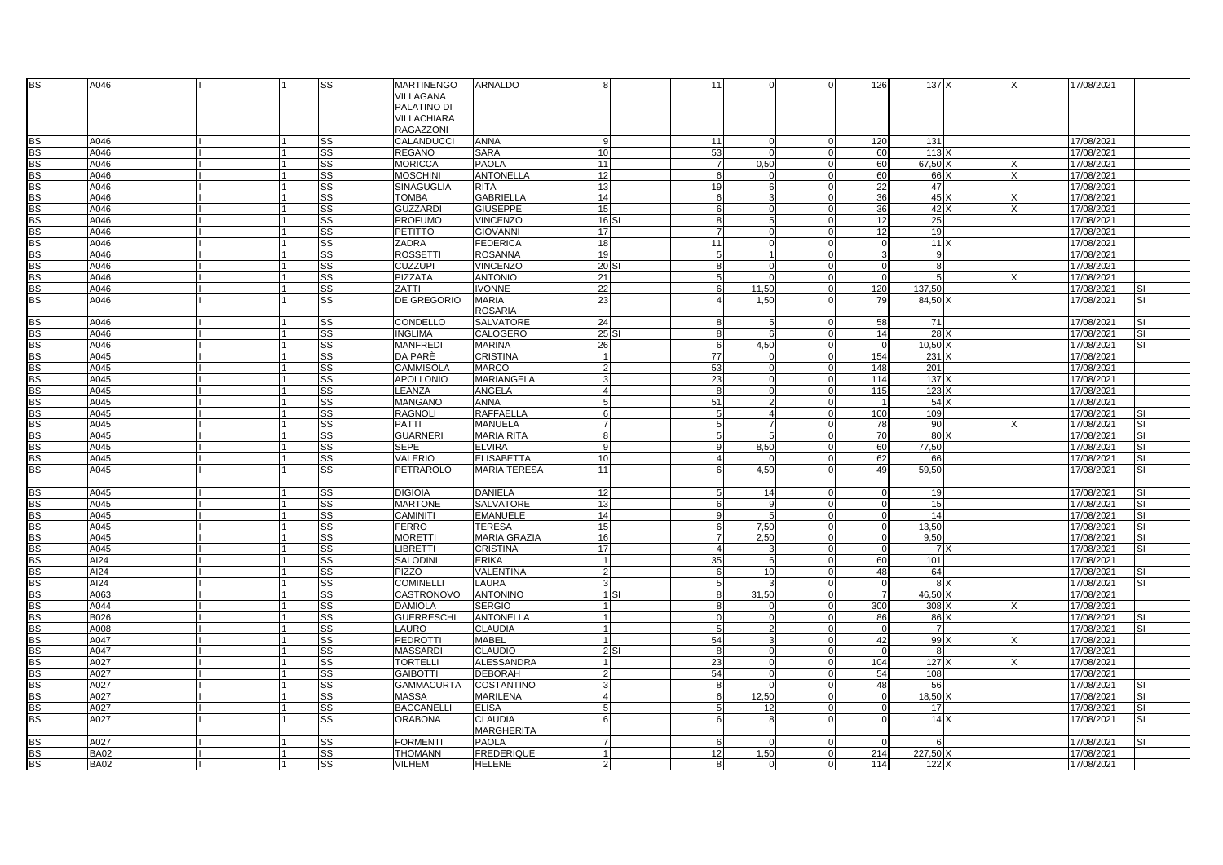| BS              | A046        |     | SS        | <b>MARTINENGO</b><br>VILLAGANA                 | ARNALDO                             |                | 11               |                |                | 126            | 137 X          |     |   | 17/08/2021 |                          |
|-----------------|-------------|-----|-----------|------------------------------------------------|-------------------------------------|----------------|------------------|----------------|----------------|----------------|----------------|-----|---|------------|--------------------------|
|                 |             |     |           | PALATINO DI<br>VILLACHIARA<br><b>RAGAZZONI</b> |                                     |                |                  |                |                |                |                |     |   |            |                          |
| <b>BS</b>       | A046        |     | <b>SS</b> | CALANDUCCI                                     | <b>ANNA</b>                         | 9              | 11               |                | $\Omega$       | 120            | 131            |     |   | 17/08/2021 |                          |
| <b>BS</b>       | A046        |     | SS        | <b>REGANO</b>                                  | <b>SARA</b>                         | 10             | 53               | $\Omega$       | $\Omega$       | 60             | 113            |     |   | 17/08/2021 |                          |
| <b>BS</b>       | A046        |     | <b>SS</b> | <b>MORICCA</b>                                 | <b>PAOLA</b>                        | 11             | $\overline{7}$   | 0,50           |                | 60             | 67,50 >        |     |   | 17/08/2021 |                          |
| <b>BS</b>       | A046        |     | <b>SS</b> | <b>MOSCHINI</b>                                | <b>ANTONELLA</b>                    | 12             | 6                | <sup>0</sup>   |                | 60             | 66 X           |     |   | 17/08/2021 |                          |
| <b>BS</b>       | A046        |     | <b>SS</b> | SINAGUGLIA                                     | <b>RITA</b>                         | 13             | 19               | 6              | $\Omega$       | 22             | 47             |     |   | 17/08/2021 |                          |
| <b>BS</b>       | A046        |     | SS        | <b>TOMBA</b>                                   | <b>GABRIELLA</b>                    | 14             | 6                | 3              | $\Omega$       | 36             | 45X            |     |   | 17/08/2021 |                          |
| BS              | A046        |     | <b>SS</b> | <b>GUZZARDI</b>                                | <b>GIUSEPPE</b>                     | 15             | 6                | $\Omega$       | $\Omega$       | 36             | 42 X           |     | Y | 17/08/2021 |                          |
| <b>BS</b>       | A046        |     | SS        | <b>PROFUMO</b>                                 | VINCENZO                            | $16$ SI        | 8                | 5              |                | 12             | 25             |     |   | 17/08/2021 |                          |
| <b>BS</b>       | A046        |     | SS        | PETITTO                                        | <b>GIOVANNI</b>                     | 17             | $\overline{7}$   | $\Omega$       | $\Omega$       | 12             | 19             |     |   | 17/08/2021 |                          |
| <b>BS</b>       | A046        |     | SS        | <b>ZADRA</b>                                   | <b>FEDERICA</b>                     | 18             | 11               |                | $\Omega$       |                | 11X            |     |   | 17/08/2021 |                          |
| <b>BS</b>       | A046        |     | SS        | <b>ROSSETTI</b>                                | <b>ROSANNA</b>                      | 19             | 5                |                | $\Omega$       |                | -9             |     |   | 17/08/2021 |                          |
| <b>BS</b>       | A046        |     | SS        | <b>CUZZUPI</b>                                 | <b>VINCENZO</b>                     | 20 S           | 8                | $\Omega$       | $\Omega$       | $\Omega$       | 8              |     |   | 17/08/2021 |                          |
| BS              | A046        |     | <b>SS</b> | PIZZATA                                        | <b>ANTONIO</b>                      | 21             | 5                | $\Omega$       | $\Omega$       | $\Omega$       | 5              |     |   | 17/08/2021 |                          |
| BS              | A046        |     | <b>SS</b> | ZATTI                                          | <b>IVONNE</b>                       | 22             | 6                | 11,50          | $\Omega$       | 120            | 137,50         |     |   | 17/08/2021 | <b>SI</b>                |
| $\overline{BS}$ | A046        |     | <b>SS</b> | DE GREGORIO                                    | <b>MARIA</b><br><b>ROSARIA</b>      | 23             | $\overline{4}$   | 1.50           |                | 79             | 84,50 X        |     |   | 17/08/2021 | <b>SI</b>                |
| <b>BS</b>       | A046        |     | SS        | CONDELLO                                       | <b>SALVATORE</b>                    | 24             | 8                | 5              | $\Omega$       | 58             | 71             |     |   | 17/08/2021 | <b>SI</b>                |
| <b>BS</b>       | A046        |     | SS        | <b>INGLIMA</b>                                 | CALOGERO                            | $25$ SI        | 8                | 6              | $\Omega$       | 14             | 28)            |     |   | 17/08/2021 | <b>SI</b>                |
| <b>BS</b>       | A046        |     | SS        | <b>MANFREDI</b>                                | <b>MARINA</b>                       | 26             | $6 \overline{6}$ | 4.50           | $\Omega$       | $\Omega$       | 10.50          |     |   | 17/08/2021 | <b>SI</b>                |
| <b>BS</b>       | A045        |     | <b>SS</b> | DA PARE                                        | <b>CRISTINA</b>                     | $\overline{1}$ | 77               | $\Omega$       | $\Omega$       | 154            | $231 \times$   |     |   | 17/08/2021 |                          |
| <b>BS</b>       | A045        |     | SS        | CAMMISOLA                                      | <b>MARCO</b>                        | $\overline{2}$ | 53               | $\Omega$       |                | 148            | 201            |     |   | 17/08/2021 |                          |
| <b>BS</b>       | A045        |     | <b>SS</b> | <b>APOLLONIO</b>                               | <b>MARIANGELA</b>                   | 3              | 23               | $\Omega$       | $\Omega$       | 114            | 137            |     |   | 17/08/2021 |                          |
| <b>BS</b>       | A045        |     | <b>SS</b> | LEANZA                                         | ANGELA                              | $\overline{4}$ | 8                | $\Omega$       | $\Omega$       | 115            | 123            |     |   | 17/08/2021 |                          |
| $rac{BS}{BS}$   | A045        |     | <b>SS</b> | MANGANO                                        | <b>ANNA</b>                         | 5              | 51               | $\mathcal{P}$  | $\Omega$       |                | 54 X           |     |   | 17/08/2021 |                          |
|                 | A045        |     | <b>SS</b> | <b>RAGNOLI</b>                                 | <b>RAFFAELLA</b>                    | 6              | 5                | $\overline{4}$ | $\Omega$       | 100            | 109            |     |   | 17/08/2021 | <b>SI</b>                |
| <b>BS</b>       | A045        |     | SS        | PATTI                                          | <b>MANUELA</b>                      | $\overline{7}$ | 5                | $\overline{7}$ | $\Omega$       | 78             | 90             |     |   | 17/08/2021 | <b>SI</b>                |
| BS              | A045        |     | <b>SS</b> | <b>GUARNERI</b>                                | <b>MARIA RITA</b>                   | 8              | 5                | 5 <sup>1</sup> | $\Omega$       | 70             | 80             |     |   | 17/08/2021 | SI                       |
| <b>BS</b>       | A045        |     | <b>SS</b> | <b>SEPE</b>                                    | <b>ELVIRA</b>                       | $\mathbf{q}$   | 9                | 8,50           | $\Omega$       | 60             | 77.50          |     |   | 17/08/2021 | SI                       |
| <b>BS</b>       | A045        |     | <b>SS</b> | <b>VALERIO</b>                                 | <b>ELISABETTA</b>                   | 10             | 4                |                | U              | 62             | 66             |     |   | 17/08/2021 | <b>SI</b>                |
| BS              | A045        |     | SS        | PETRAROLO                                      | <b>MARIA TERESA</b>                 | 11             | 6                | 4,50           |                | 49             | 59,50          |     |   | 17/08/2021 | <b>SI</b>                |
| <b>BS</b>       | A045        |     | <b>SS</b> | <b>DIGIOIA</b>                                 | <b>DANIELA</b>                      | 12             | 5                | 14             |                | $\Omega$       | 19             |     |   | 17/08/2021 | <b>SI</b>                |
| <b>BS</b>       | A045        |     | <b>SS</b> | <b>MARTONE</b>                                 | <b>SALVATORE</b>                    | 13             | 6                | 9              |                |                | 15             |     |   | 17/08/2021 | <b>SI</b>                |
| <b>BS</b>       | A045        |     | SS        | <b>CAMINITI</b>                                | <b>EMANUELE</b>                     | 14             | 9                | 5              | $\Omega$       | $\Omega$       | 14             |     |   | 17/08/2021 | <b>SI</b>                |
| <b>BS</b>       | A045        |     | SS        | <b>FERRO</b>                                   | <b>TERESA</b>                       | 15             | 6                | 7,50           |                | $\Omega$       | 13.50          |     |   | 17/08/2021 | <b>SI</b>                |
| BS              | A045        |     | <b>SS</b> | MORETTI                                        | <b>MARIA GRAZIA</b>                 | 16             | $\overline{7}$   | 2.50           | $\Omega$       | $\Omega$       | 9.50           |     |   | 17/08/2021 | <b>SI</b>                |
| BS              | A045        |     | <b>SS</b> | <b>LIBRETTI</b>                                | <b>CRISTINA</b>                     | 17             | $\overline{4}$   |                | $\Omega$       | $\overline{0}$ |                | 7 X |   | 17/08/2021 | SI                       |
| <b>BS</b>       | AI24        |     | <b>SS</b> | <b>SALODINI</b>                                | <b>ERIKA</b>                        | $\overline{1}$ | 35               | 6              | $\Omega$       | 60             | 101            |     |   | 17/08/2021 |                          |
| <b>BS</b>       | AI24        |     | SS        | <b>PIZZO</b>                                   | VALENTINA                           | $\overline{2}$ | 6                | 10             |                | 48             | 64             |     |   | 17/08/2021 | <b>SI</b>                |
| <b>BS</b>       | AI24        |     | <b>SS</b> | <b>COMINELLI</b>                               | <b>LAURA</b>                        | 3              | 5                |                |                |                | 8 <sup>2</sup> |     |   | 17/08/2021 | $\overline{\mathsf{SI}}$ |
| BS              | A063        |     | <b>SS</b> | CASTRONOVO                                     | <b>ANTONINO</b>                     | $1$ SI         | 8                | 31,50          |                |                | 46,50 X        |     |   | 17/08/2021 |                          |
| BS              | A044        |     | SS        | <b>DAMIOLA</b>                                 | <b>SERGIO</b>                       |                | 8                |                |                | 300            | 308 X          |     |   | 17/08/2021 |                          |
| <b>BS</b>       | <b>B026</b> |     | <b>SS</b> | <b>GUERRESCHI</b>                              | <b>ANTONELLA</b>                    |                | $\mathbf 0$      | $\Omega$       | $\Omega$       | 86             | 86 X           |     |   | 17/08/2021 | <b>SI</b>                |
| <b>BS</b>       | A008        |     | <b>SS</b> | LAURO                                          | <b>CLAUDIA</b>                      |                | 5                | $\mathfrak{p}$ | $\Omega$       | $\Omega$       | $\overline{7}$ |     |   | 17/08/2021 | <b>SI</b>                |
| <b>BS</b>       | A047        | l 1 | SS        | PEDROTTI                                       | <b>MABEL</b>                        | -11            | 54               | 3              | $\Omega$       | 42             | 99 X           |     |   | 17/08/2021 |                          |
| <b>BS</b>       | A047        |     | <b>SS</b> | <b>MASSARDI</b>                                | <b>CLAUDIO</b>                      | 2SI            | 8                |                |                |                | 8              |     |   | 17/08/2021 |                          |
| <b>BS</b>       | A027        |     | SS        | <b>TORTELLI</b>                                | <b>ALESSANDRA</b>                   |                | 23               | $\Omega$       | $\Omega$       | 104            | 127            |     |   | 17/08/2021 |                          |
| <b>BS</b>       | A027        |     | SS        | <b>GAIBOTTI</b>                                | <b>DEBORAH</b>                      | $\overline{2}$ | 54               | $\Omega$       |                | 54             | 108            |     |   | 17/08/2021 |                          |
| <b>BS</b>       | A027        |     | <b>SS</b> | <b>GAMMACURTA</b>                              | <b>COSTANTINO</b>                   | 3              | 8                | $\Omega$       | $\Omega$       | 48             | 56             |     |   | 17/08/2021 | <b>SI</b>                |
| BS              | A027        |     | <b>SS</b> | <b>MASSA</b>                                   | <b>MARILENA</b>                     | 4              | 6                | 12,50          | $\Omega$       | $^{\circ}$     | 18,50          |     |   | 17/08/2021 | <b>SI</b>                |
| BS              | A027        |     | SS        | <b>BACCANELLI</b>                              | <b>ELISA</b>                        | 5              | 5                | 12             | $\Omega$       |                | 17             |     |   | 17/08/2021 | SI                       |
| <b>BS</b>       | A027        |     | <b>SS</b> | <b>ORABONA</b>                                 | <b>CLAUDIA</b><br><b>MARGHERITA</b> |                | 6                | $\mathsf{R}$   |                |                |                | 14X |   | 17/08/2021 | SI                       |
| <b>BS</b>       | A027        |     | SS        | <b>FORMENTI</b>                                | <b>PAOLA</b>                        | $\overline{7}$ | 6                | $\Omega$       | $\Omega$       | $\Omega$       | 6              |     |   | 17/08/2021 | <b>SI</b>                |
| <b>BS</b>       | <b>BA02</b> |     | SS        | <b>THOMANN</b>                                 | <b>FREDERIQUE</b>                   |                | 12               | 1,50           | $\Omega$       | 214            | 227.50 X       |     |   | 17/08/2021 |                          |
| <b>BS</b>       | <b>BA02</b> |     | SS        | <b>VILHEM</b>                                  | <b>HELENE</b>                       | $\overline{2}$ | 8                | $\Omega$       | $\overline{0}$ | 114            | 122 X          |     |   | 17/08/2021 |                          |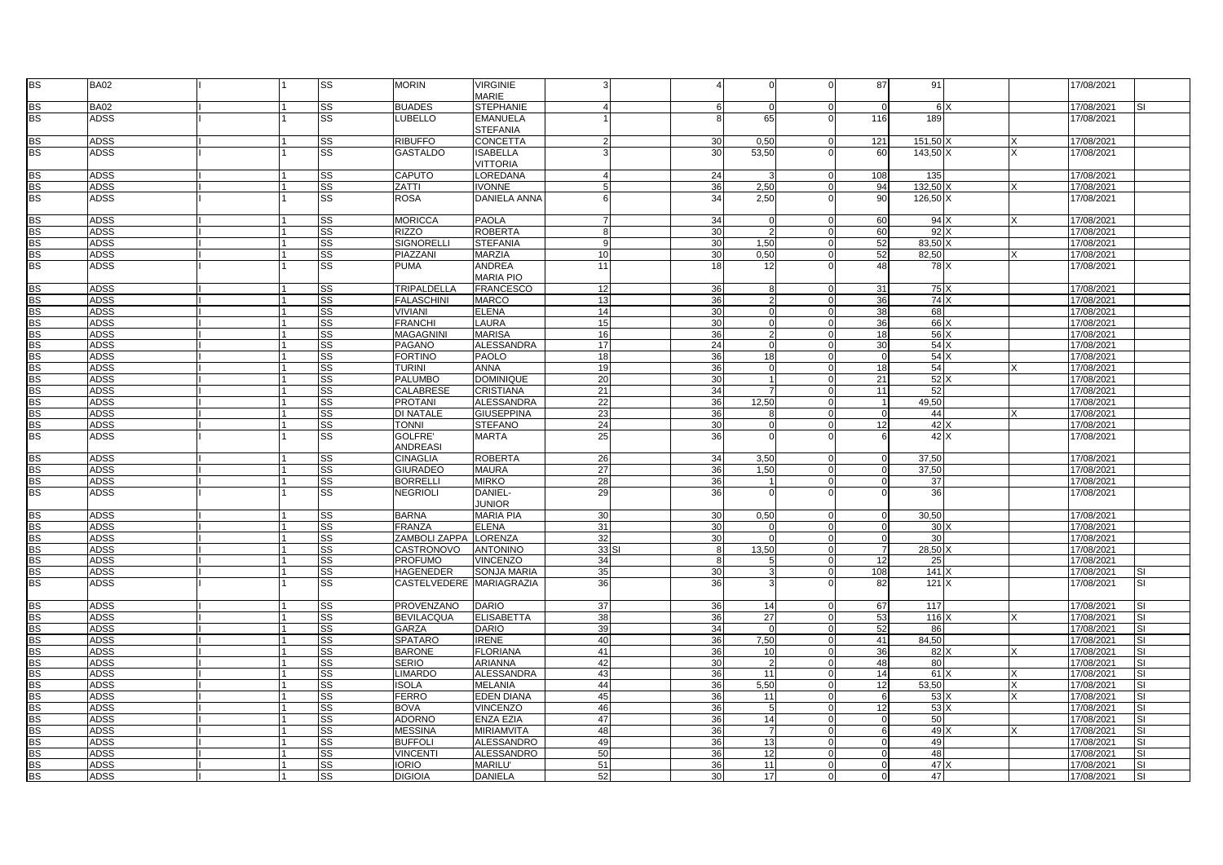| BS              | <b>BA02</b>                |     | <b>SS</b> | <b>MORIN</b>                       | <b>VIRGINIE</b><br><b>MARIE</b>        |                |                 |                 |                | 87             | 91           |             |              | 17/08/2021               |     |
|-----------------|----------------------------|-----|-----------|------------------------------------|----------------------------------------|----------------|-----------------|-----------------|----------------|----------------|--------------|-------------|--------------|--------------------------|-----|
| <b>BS</b>       | <b>BA02</b>                |     | <b>SS</b> | <b>BUADES</b>                      |                                        |                | 6               | $\Omega$        | $\Omega$       | $\Omega$       |              | 6 X         |              |                          |     |
| <b>BS</b>       | <b>ADSS</b>                |     | SS        | <b>LUBELLO</b>                     | <b>STEPHANIE</b>                       |                |                 | 65              |                | 116            | 189          |             |              | 17/08/2021               |     |
|                 |                            |     |           |                                    | <b>EMANUELA</b><br><b>STEFANIA</b>     |                | 8               |                 |                |                |              |             |              | 17/08/2021               |     |
| <b>BS</b>       | <b>ADSS</b>                |     | SS        | <b>RIBUFFO</b>                     | <b>CONCETTA</b>                        |                | 30              | 0,50            | $\Omega$       | 121            | 151,50       |             | $\times$     | 17/08/2021               |     |
| <b>BS</b>       | <b>ADSS</b>                |     | SS        | <b>GASTALDO</b>                    | <b>ISABELLA</b>                        |                | 30              | 53,50           |                | 60             | 143,50 X     |             | $\mathsf{x}$ | 17/08/2021               |     |
|                 |                            |     |           | <b>CAPUTO</b>                      | <b>VITTORIA</b>                        |                |                 |                 | $\Omega$       |                |              |             |              |                          |     |
| <b>BS</b>       | <b>ADSS</b>                |     | SS        |                                    | LOREDANA                               |                | 24              |                 |                | 108            | 135          |             |              | 17/08/2021               |     |
| <b>BS</b>       | <b>ADSS</b>                |     | <b>SS</b> | ZATTI                              | <b>VONNE</b>                           |                | 36              | 2,50            |                | 94             | 132,50       |             | $\times$     | 17/08/2021               |     |
| <b>BS</b>       | <b>ADSS</b>                |     | <b>SS</b> | ROSA                               | DANIELA ANNA                           |                | 34              | 2,50            |                | 90             | 126,50 X     |             |              | 17/08/2021               |     |
| <b>BS</b>       | <b>ADSS</b>                |     | SS        | <b>MORICCA</b>                     | <b>PAOLA</b>                           | $\overline{7}$ | 34              | $\Omega$        | $\Omega$       | 60             | 94 X         |             | X            | 17/08/2021               |     |
| <b>BS</b>       | <b>ADSS</b>                |     | SS        | <b>RIZZO</b>                       | <b>ROBERTA</b>                         | $\mathsf{R}$   | 30              | $\mathcal{P}$   |                | 60             | 92X          |             |              | 17/08/2021               |     |
| <b>BS</b>       | <b>ADSS</b>                |     | <b>SS</b> | SIGNORELLI                         | <b>STEFANIA</b>                        | 9              | 30              | 1,50            |                | 52             | 83.50 X      |             |              | 17/08/2021               |     |
| <b>BS</b>       | <b>ADSS</b>                |     | <b>SS</b> | PIAZZANI                           | <b>MARZIA</b>                          | 10             | 30              | 0,50            | $\Omega$       | 52             | 82.50        |             |              | 17/08/2021               |     |
| <b>BS</b>       | <b>ADSS</b>                |     | <b>SS</b> | PUMA                               | <b>ANDREA</b><br><b>MARIA PIO</b>      | 11             | 18              | 12              |                | 48             |              | 78 X        |              | 17/08/2021               |     |
| <b>BS</b>       | <b>ADSS</b>                |     | <b>SS</b> | TRIPALDELLA                        | <b>FRANCESCO</b>                       | 12             | 36              | 8               |                | 31             |              | 75X         |              | 17/08/2021               |     |
| <b>BS</b>       | <b>ADSS</b>                |     | <b>SS</b> | <b>FALASCHINI</b>                  | <b>MARCO</b>                           | 13             | 36              | 2               | $\Omega$       | 36             | 74 X         |             |              | 17/08/2021               |     |
| <b>BS</b>       | <b>ADSS</b>                |     | <b>SS</b> | VIVIANI                            | <b>ELENA</b>                           | 14             | 30              | $\Omega$        | $\Omega$       | 38             | 68           |             |              | 17/08/2021               |     |
| <b>BS</b>       | <b>ADSS</b>                |     | <b>SS</b> | <b>FRANCHI</b>                     | LAURA                                  | 15             | 30              | $\Omega$        |                | 36             | 66 X         |             |              | 17/08/2021               |     |
| BS              | <b>ADSS</b>                |     | <b>SS</b> | MAGAGNINI                          | <b>MARISA</b>                          | 16             | 36              | $\overline{2}$  | $\Omega$       | 18             |              | 56 X        |              | 17/08/2021               |     |
| $\overline{BS}$ | <b>ADSS</b>                |     | SS        | PAGANO                             | <b>ALESSANDRA</b>                      | 17             | 24              | $\Omega$        |                | 30             |              | 54X         |              | 17/08/2021               |     |
| <b>BS</b>       | ADSS                       |     | <b>SS</b> | <b>FORTINO</b>                     | <b>PAOLO</b>                           | 18             | 36              | 18              | $\Omega$       | $\Omega$       | 54X          |             |              | 17/08/2021               |     |
| BS              | <b>ADSS</b>                |     | <b>SS</b> | <b>TURINI</b>                      | <b>ANNA</b>                            | 19             | 36              | $\Omega$        | $\Omega$       | 18             | 54           |             |              | 17/08/2021               |     |
| BS              | <b>ADSS</b>                |     | SS        | <b>PALUMBO</b>                     | <b>DOMINIQUE</b>                       | 20             | 30              |                 |                | 21             | 52           |             |              | 17/08/2021               |     |
| BS              | <b>ADSS</b>                |     | <b>SS</b> | CALABRESE                          | <b>CRISTIANA</b>                       | 21             | 34              | $\overline{7}$  | $\Omega$       | 11             | 52           |             |              | 17/08/2021               |     |
| <b>BS</b>       |                            |     |           |                                    |                                        |                |                 |                 |                | $\mathbf{1}$   |              |             |              |                          |     |
| <b>BS</b>       | <b>ADSS</b><br><b>ADSS</b> |     | SS<br>SS  | <b>PROTANI</b><br><b>DI NATALE</b> | <b>ALESSANDRA</b><br><b>GIUSEPPINA</b> | 22<br>23       | 36<br>36        | 12,50<br>8      | $\Omega$       | $\overline{0}$ | 49,50<br>44  |             |              | 17/08/2021<br>17/08/2021 |     |
| BS              | <b>ADSS</b>                |     | <b>SS</b> | <b>TONNI</b>                       | <b>STEFANO</b>                         | 24             | 30              |                 | $\Omega$       | 12             | 42 X         |             |              | 17/08/2021               |     |
|                 |                            |     |           |                                    |                                        |                |                 |                 |                |                |              |             |              |                          |     |
| <b>BS</b>       | <b>ADSS</b>                |     | <b>SS</b> | GOLFRE'<br><b>ANDREASI</b>         | <b>MARTA</b>                           | 25             | 36              | $\Omega$        |                | 6              |              | $42 \times$ |              | 17/08/2021               |     |
| <b>BS</b>       | <b>ADSS</b>                |     | SS        | CINAGLIA                           | <b>ROBERTA</b>                         | 26             | 34              | 3,50            |                | $\Omega$       | 37,50        |             |              | 17/08/2021               |     |
| BS              | <b>ADSS</b>                |     | <b>SS</b> | <b>GIURADEO</b>                    | <b>MAURA</b>                           | 27             | 36              | 1,50            | $\Omega$       | $\Omega$       | 37.50        |             |              | 17/08/2021               |     |
| <b>BS</b>       | <b>ADSS</b>                |     | SS        | <b>BORRELLI</b>                    | <b>MIRKO</b>                           | 28             | 36              |                 | $\overline{0}$ | $\overline{0}$ | 37           |             |              | 17/08/2021               |     |
| <b>BS</b>       | <b>ADSS</b>                |     | <b>SS</b> | <b>NEGRIOLI</b>                    | DANIEL-<br><b>JUNIOR</b>               | 29             | 36              | $\Omega$        | $\Omega$       | $\Omega$       | 36           |             |              | 17/08/2021               |     |
| <b>BS</b>       | <b>ADSS</b>                |     | <b>SS</b> | <b>BARNA</b>                       | <b>MARIA PIA</b>                       | 30             | 30              | 0,50            |                | $\Omega$       | 30.50        |             |              | 17/08/2021               |     |
| BS              |                            |     |           | <b>FRANZA</b>                      | <b>ELENA</b>                           | 31             | 30              | $\Omega$        | $\Omega$       | $\Omega$       | 30X          |             |              |                          |     |
| <b>BS</b>       | <b>ADSS</b><br><b>ADSS</b> |     | SS<br>SS  | <b>ZAMBOLI ZAPPA</b>               | <b>LORENZA</b>                         | 32             | 30              | $\Omega$        | $\Omega$       | $\mathbf 0$    | 30           |             |              | 17/08/2021<br>17/08/2021 |     |
| BS              |                            |     | <b>SS</b> |                                    | <b>ANTONINO</b>                        | 33S            |                 | 13,50           |                | $\overline{7}$ | 28.50        |             |              |                          |     |
|                 | <b>ADSS</b>                |     |           | CASTRONOVO                         |                                        |                | 8<br>8          |                 | $\Omega$       |                |              |             |              | 17/08/2021               |     |
| BS              | <b>ADSS</b>                |     | SS        | PROFUMO                            | VINCENZO                               | 34             |                 |                 |                | 12             | 25           |             |              | 17/08/2021               |     |
| BS<br><b>BS</b> | <b>ADSS</b>                |     | <b>SS</b> | HAGENEDER                          | <b>SONJA MARIA</b>                     | 35             | 30              |                 |                | 108            | $141 \times$ |             |              | 17/08/2021               |     |
|                 | <b>ADSS</b>                |     | SS        | CASTELVEDERE  MARIAGRAZIA          |                                        | 36             | 36              |                 |                | 82             | 121 X        |             |              | 17/08/2021               | SI  |
| <b>BS</b>       | <b>ADSS</b>                |     | <b>SS</b> | PROVENZANO                         | <b>DARIO</b>                           | 37             | 36              | 14              |                | 67             | 117          |             |              | 17/08/2021               |     |
| BS              | <b>ADSS</b>                |     | <b>SS</b> | <b>BEVILACQUA</b>                  | <b>ELISABETTA</b>                      | 38             | 36              | 27              |                | 53             | 116          |             |              | 17/08/2021               | SI. |
| <b>BS</b>       | <b>ADSS</b>                |     | <b>SS</b> | GARZA                              | <b>DARIO</b>                           | 39             | 34              | $\Omega$        |                | 52             | 86           |             |              | 17/08/2021               | SI  |
| BS              | <b>ADSS</b>                |     | SS        | SPATARO                            | <b>IRENE</b>                           | 40             | 36              | 7,50            | $\Omega$       | 41             | 84,50        |             |              | 17/08/2021               | SI  |
| <b>BS</b>       | <b>ADSS</b>                |     | SS        | <b>BARONE</b>                      | <b>FLORIANA</b>                        | 41             | 36              | 10 <sup>1</sup> | $\Omega$       | 36             | 82 X         |             |              | 17/08/2021               | SI  |
| BS              | <b>ADSS</b>                |     | <b>SS</b> | <b>SERIO</b>                       | <b>ARIANNA</b>                         | 42             | 30              | $\mathcal{P}$   | $\Omega$       | 48             | 80           |             |              | 17/08/2021               | SI  |
| <b>BS</b>       | <b>ADSS</b>                |     | <b>SS</b> | <b>LIMARDO</b>                     | <b>ALESSANDRA</b>                      | 43             | 36              | 11              |                | 14             | 61X          |             |              | 17/08/2021               | SI. |
| BS              | <b>ADSS</b>                |     | <b>SS</b> | ISOLA                              | <b>MELANIA</b>                         | 44             | 36              | 5,50            |                | 12             | 53,50        |             |              | 17/08/2021               |     |
| <b>BS</b>       | <b>ADSS</b>                |     | <b>SS</b> | <b>FERRO</b>                       | <b>EDEN DIANA</b>                      | 45             | 36              | 11              | $\Omega$       | 6              |              | 53 X        | $\mathsf{x}$ | 17/08/2021               | SI  |
| <b>BS</b>       | <b>ADSS</b>                |     | SS        | <b>BOVA</b>                        | <b>VINCENZO</b>                        | 46             | 36              | $\overline{5}$  |                | 12             |              | 53 X        |              | 17/08/2021               | SI  |
| <b>BS</b>       | <b>ADSS</b>                |     | <b>SS</b> | <b>ADORNO</b>                      | <b>ENZA EZIA</b>                       | 47             | 36              | 14              | $\Omega$       | $\mathbf 0$    | 50           |             |              | 17/08/2021               | SI  |
| BS              | <b>ADSS</b>                |     | <b>SS</b> | <b>MESSINA</b>                     | <b>MIRIAMVITA</b>                      | 48             | 36              | $\overline{7}$  | $\Omega$       | 6              | 49 X         |             |              | 17/08/2021               | SI  |
| BS              | <b>ADSS</b>                |     | <b>SS</b> | <b>BUFFOL</b>                      | <b>ALESSANDRO</b>                      | 49             | 36              | 13              |                | <sup>0</sup>   | 49           |             |              | 17/08/2021               |     |
| <b>BS</b>       | <b>ADSS</b>                |     | SS        | <b>VINCENT</b>                     | <b>ALESSANDRO</b>                      | 50             | 36              | 12              |                | $\Omega$       | 48           |             |              | 17/08/2021               | SI. |
|                 | <b>ADSS</b>                |     | <b>SS</b> | <b>IORIO</b>                       | <b>MARILU</b> '                        | 51             | 36              | 11              |                | $\Omega$       | 47 X         |             |              | 17/08/2021               | S١  |
| $rac{BS}{BS}$   | <b>ADSS</b>                | l 1 | <b>SS</b> | <b>DIGIOIA</b>                     | <b>DANIELA</b>                         | 52             | 30 <sup>1</sup> | 17              | $\overline{0}$ | $\overline{0}$ | 47           |             |              | 17/08/2021               | SI  |
|                 |                            |     |           |                                    |                                        |                |                 |                 |                |                |              |             |              |                          |     |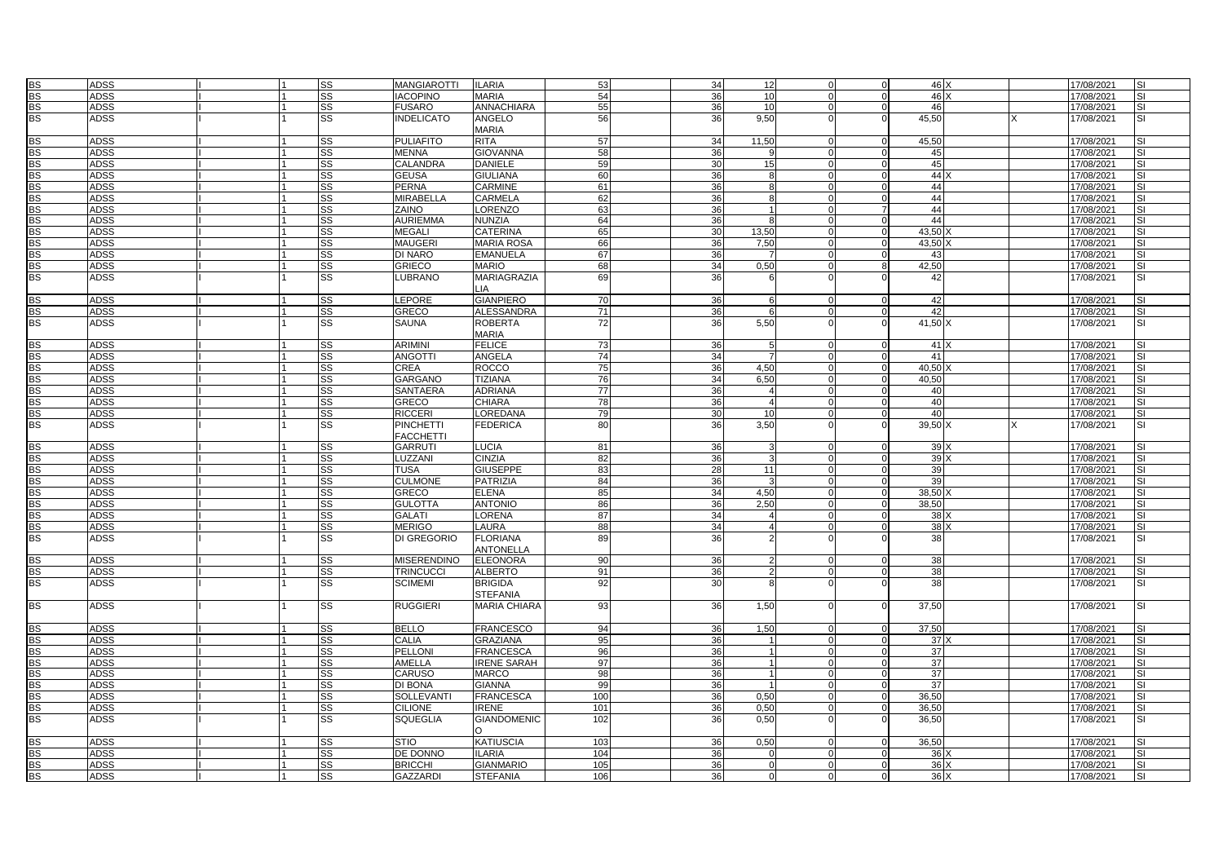|           | <b>ADSS</b> |  | <b>SS</b> | <b>MANGIAROTTI</b> | <b>ILARIA</b>                       | 53         | 34              | 12                                  | $\Omega$       | 46 X    |      | 17/08/2021 | <b>SI</b>                |
|-----------|-------------|--|-----------|--------------------|-------------------------------------|------------|-----------------|-------------------------------------|----------------|---------|------|------------|--------------------------|
| BS<br>BS  | <b>ADSS</b> |  | SS        | <b>IACOPINO</b>    | <b>MARIA</b>                        | 54         | 36              | 10 <sup>1</sup>                     | $\Omega$       | 46 X    |      | 17/08/2021 | <b>SI</b>                |
| <b>BS</b> |             |  |           |                    |                                     |            |                 | 10 <sup>1</sup><br>$\Omega$         |                |         |      |            |                          |
|           | <b>ADSS</b> |  | SS        | <b>FUSARO</b>      | ANNACHIARA                          | 55         | 36              |                                     | $\Omega$       | 46      |      | 17/08/2021 | SI                       |
| <b>BS</b> | <b>ADSS</b> |  | SS        | <b>INDELICATO</b>  | ANGELO<br><b>MARIA</b>              | 56         | 36              | 9,50                                | $\Omega$       | 45,50   |      | 17/08/2021 | <b>SI</b>                |
| <b>BS</b> | <b>ADSS</b> |  | <b>SS</b> | <b>PULIAFITO</b>   | <b>RITA</b>                         | 57         | 34<br>11,50     |                                     | $\Omega$       | 45.50   |      | 17/08/2021 | <b>SI</b>                |
| <b>BS</b> | <b>ADSS</b> |  | SS        | <b>MENNA</b>       | <b>GIOVANNA</b>                     | 58         | 36              | g<br>$\Omega$                       | $\mathbf 0$    | 45      |      | 17/08/2021 | <b>SI</b>                |
| <b>BS</b> | <b>ADSS</b> |  | SS        | CALANDRA           | <b>DANIELE</b>                      | 59         | 30              | 15<br>$\Omega$                      | $\mathbf 0$    | 45      |      | 17/08/2021 | SI                       |
| <b>BS</b> | <b>ADSS</b> |  | SS        | <b>GEUSA</b>       | <b>GIULIANA</b>                     | 60         | 36              | 8<br>$\Omega$                       | $\mathbf 0$    | 44 X    |      | 17/08/2021 | <b>SI</b>                |
|           |             |  |           |                    |                                     |            |                 |                                     |                |         |      |            |                          |
| <b>BS</b> | <b>ADSS</b> |  | SS        | PERNA              | CARMINE                             | 61         | 36              | 8<br>$\Omega$                       | $\Omega$       | 44      |      | 17/08/2021 | <b>SI</b>                |
| <b>BS</b> | <b>ADSS</b> |  | <b>SS</b> | MIRABELLA          | <b>CARMELA</b>                      | 62         | 36              | 8                                   | $\Omega$       | 44      |      | 17/08/2021 | <b>SI</b>                |
| <b>BS</b> | <b>ADSS</b> |  | <b>SS</b> | ZAINO              | <b>LORENZO</b>                      | 63         | 36              | 1<br>$\Omega$                       | $\overline{7}$ | 44      |      | 17/08/2021 | <b>SI</b>                |
| <b>BS</b> | <b>ADSS</b> |  | <b>SS</b> | <b>AURIEMMA</b>    | NUNZIA                              | 64         | 36              | 8<br>$\Omega$                       | $\mathbf 0$    | 44      |      | 17/08/2021 | <b>SI</b>                |
| <b>BS</b> | <b>ADSS</b> |  | SS        | <b>MEGALI</b>      | <b>CATERINA</b>                     | 65         | 30<br>13,50     | $\Omega$                            | $\mathbf 0$    | 43,50   |      | 17/08/2021 | <b>SI</b>                |
| <b>BS</b> | <b>ADSS</b> |  | <b>SS</b> | MAUGERI            | <b>MARIA ROSA</b>                   | 66         | 36              | 7,50<br>$\Omega$                    | $\overline{0}$ | 43,50   |      | 17/08/2021 | <b>SI</b>                |
| <b>BS</b> | <b>ADSS</b> |  | <b>SS</b> | DI NARO            | <b>EMANUELA</b>                     | 67         | 36              |                                     | $\Omega$       | 43      |      | 17/08/2021 | <b>SI</b>                |
| <b>BS</b> | <b>ADSS</b> |  | SS        | GRIECO             | <b>MARIO</b>                        | 68         | 34              | 0,50<br>$\Omega$                    | 8              | 42,50   |      | 17/08/2021 | <b>SI</b>                |
| <b>BS</b> | ADSS        |  | SS        | LUBRANO            | MARIAGRAZIA                         | 69         | 36              | 6                                   |                | 42      |      | 17/08/2021 | SI                       |
|           |             |  |           |                    | LIA.                                |            |                 |                                     |                |         |      |            |                          |
| <b>BS</b> | <b>ADSS</b> |  | <b>SS</b> | LEPORE             | <b>GIANPIERO</b>                    | 70         | 36              | 6<br>$\Omega$                       | $\Omega$       | 42      |      | 17/08/2021 | <b>SI</b>                |
| <b>BS</b> | <b>ADSS</b> |  | <b>SS</b> | GRECO              | <b>ALESSANDRA</b>                   | 71         | 36              | 6                                   | $\Omega$       | 42      |      | 17/08/2021 | <b>SI</b>                |
| <b>BS</b> | ADSS        |  | <b>SS</b> | SAUNA              | <b>ROBERTA</b>                      | 72         | 36              | 5,50                                | $\Omega$       | 41,50   |      | 17/08/2021 | <b>SI</b>                |
|           |             |  |           |                    | <b>MARIA</b>                        |            |                 |                                     |                |         |      |            |                          |
| <b>BS</b> | <b>ADSS</b> |  | SS        | <b>ARIMINI</b>     | <b>FELICE</b>                       | 73         | 36              | 5<br>$\Omega$                       | $\mathbf 0$    | 41X     |      | 17/08/2021 | <b>SI</b>                |
| <b>BS</b> | <b>ADSS</b> |  | <b>SS</b> | ANGOTTI            | <b>ANGELA</b>                       | 74         | 34              | 7<br>$\Omega$                       | $\Omega$       | 41      |      | 17/08/2021 | <b>SI</b>                |
| <b>BS</b> | <b>ADSS</b> |  | <b>SS</b> | CREA               | <b>ROCCO</b>                        | 75         | 36              | 4,50                                | $\mathbf 0$    | 40.50   |      | 17/08/2021 | <b>SI</b>                |
| <b>BS</b> | <b>ADSS</b> |  | SS        | GARGANO            | <b>TIZIANA</b>                      | 76         | 34              | 6,50<br>$\Omega$                    | $\mathbf 0$    | 40,50   |      | 17/08/2021 | <b>SI</b>                |
| <b>BS</b> | <b>ADSS</b> |  | SS        | SANTAERA           | <b>ADRIANA</b>                      | 77         | 36              | $\overline{4}$<br>$\Omega$          | $\mathbf 0$    | 40      |      | 17/08/2021 | SI                       |
| <b>BS</b> | <b>ADSS</b> |  | SS        | GRECO              | <b>CHIARA</b>                       | 78         | 36              | 4<br>$\Omega$                       | $\mathbf 0$    | 40      |      | 17/08/2021 | <b>SI</b>                |
| <b>BS</b> | <b>ADSS</b> |  | <b>SS</b> | RICCERI            | LOREDANA                            | 79         | 30 <sup>1</sup> | 10 <sup>1</sup><br>$\Omega$         | $\mathbf 0$    | 40      |      | 17/08/2021 | <b>SI</b>                |
| <b>BS</b> | <b>ADSS</b> |  | <b>SS</b> | PINCHETTI          | <b>FEDERICA</b>                     | 80         | 36              | 3,50                                | $\Omega$       | 39,50 X |      | 17/08/2021 | SI                       |
|           |             |  |           | <b>FACCHETTI</b>   |                                     |            |                 |                                     |                |         |      |            |                          |
| <b>BS</b> | <b>ADSS</b> |  | <b>SS</b> | GARRUTI            | <b>LUCIA</b>                        | 81         | 36              | $\mathcal{R}$<br>$\Omega$           | $\mathbf 0$    | 39 X    |      | 17/08/2021 | <b>SI</b>                |
| <b>BS</b> | <b>ADSS</b> |  | SS        | <b>LUZZANI</b>     | <b>CINZIA</b>                       | 82         | 36              | 3<br>$\Omega$                       | $\Omega$       | 39 X    |      | 17/08/2021 | <b>SI</b>                |
| <b>BS</b> | <b>ADSS</b> |  | <b>SS</b> | TUSA               | <b>GIUSEPPE</b>                     | 83         | 28              | 11<br>$\Omega$                      | $\overline{0}$ | 39      |      | 17/08/2021 | <b>SI</b>                |
| <b>BS</b> | <b>ADSS</b> |  | SS        | <b>CULMONE</b>     | <b>PATRIZIA</b>                     | 84         | 36              | $\Omega$                            | $\overline{0}$ | 39      |      | 17/08/2021 | <b>SI</b>                |
| <b>BS</b> | <b>ADSS</b> |  | <b>SS</b> | GRECO              | <b>ELENA</b>                        | 85         | 34              | 4,50<br>$\Omega$                    | $\mathbf 0$    | 38,50   |      | 17/08/2021 | <b>SI</b>                |
| <b>BS</b> | <b>ADSS</b> |  | <b>SS</b> | <b>GULOTTA</b>     | <b>ANTONIO</b>                      | 86         | 36              | 2,50<br>$\Omega$                    | $\mathbf 0$    | 38,50   |      | 17/08/2021 | SI                       |
| <b>BS</b> | <b>ADSS</b> |  | SS        | GALATI             | LORENA                              | 87         | 34              | $\overline{\mathbf{A}}$<br>$\Omega$ | $\Omega$       | 38 X    |      | 17/08/2021 | <b>SI</b>                |
| <b>BS</b> |             |  |           |                    |                                     |            |                 | $\Omega$                            |                |         |      |            |                          |
|           | <b>ADSS</b> |  | <b>SS</b> | <b>MERIGO</b>      | LAURA                               | 88         | 34              | 4                                   | $\Omega$       | 38 X    |      | 17/08/2021 | SI                       |
| <b>BS</b> | <b>ADSS</b> |  | SS        | DI GREGORIO        | <b>FLORIANA</b><br><b>ANTONELLA</b> | 89         | 36              |                                     |                | 38      |      | 17/08/2021 | SI                       |
| <b>BS</b> | <b>ADSS</b> |  | SS        | <b>MISERENDINO</b> | <b>ELEONORA</b>                     | 90         | 36              | $\mathcal{D}$<br>$\Omega$           | $\Omega$       | 38      |      | 17/08/2021 | SI                       |
| <b>BS</b> | <b>ADSS</b> |  | SS        | <b>TRINCUCCI</b>   | <b>ALBERTO</b>                      | 91         | 36              | $\Omega$                            | $\Omega$       | 38      |      | 17/08/2021 | $\overline{\mathsf{S}}$  |
| <b>BS</b> | <b>ADSS</b> |  | SS        | <b>SCIMEMI</b>     | <b>BRIGIDA</b>                      | 92         | 30              |                                     |                | 38      |      | 17/08/2021 | SI                       |
|           |             |  |           |                    | <b>STEFANIA</b>                     |            |                 |                                     |                |         |      |            |                          |
| <b>BS</b> | ADSS        |  | <b>SS</b> | <b>RUGGIERI</b>    | <b>MARIA CHIARA</b>                 | 93         | 36              | 1,50<br>$\Omega$                    | $\Omega$       | 37,50   |      | 17/08/2021 | <b>SI</b>                |
|           |             |  |           |                    |                                     |            |                 |                                     |                |         |      |            |                          |
| <b>BS</b> | <b>ADSS</b> |  | SS        | <b>BELLO</b>       | <b>FRANCESCO</b>                    | 94         | 36              | 1,50<br>$\Omega$                    | $\mathbf 0$    | 37,50   |      | 17/08/2021 | <b>SI</b>                |
| <b>BS</b> | <b>ADSS</b> |  | SS        | CALIA              | <b>GRAZIANA</b>                     | 95         | 36              | $\overline{1}$<br>$\Omega$          | $\overline{0}$ | 37 X    |      | 17/08/2021 | <b>SI</b>                |
| <b>BS</b> | <b>ADSS</b> |  | SS        | PELLONI            | <b>FRANCESCA</b>                    | 96         | 36              |                                     | $\Omega$       | 37      |      | 17/08/2021 | <b>SI</b>                |
| <b>BS</b> | <b>ADSS</b> |  | <b>SS</b> | AMELLA             | <b>IRENE SARAH</b>                  | 97         | 36              | 1<br>$\Omega$                       | $\Omega$       | 37      |      | 17/08/2021 | <b>SI</b>                |
| <b>BS</b> | <b>ADSS</b> |  | SS        | CARUSC             | <b>MARCO</b>                        | 98         | 36              | 1 <sup>1</sup><br>$\Omega$          | $\mathbf 0$    | 37      |      | 17/08/2021 | <b>SI</b>                |
| <b>BS</b> | <b>ADSS</b> |  | SS        | DI BONA            | <b>GIANNA</b>                       | 99         | 36              | $\Omega$                            | $\Omega$       | 37      |      | 17/08/2021 | <b>SI</b>                |
| <b>BS</b> | <b>ADSS</b> |  | <b>SS</b> | SOLLEVANTI         | <b>FRANCESCA</b>                    | 100        | 36              | 0,50<br>$\Omega$                    | $\overline{0}$ | 36,50   |      | 17/08/2021 | <b>SI</b>                |
| <b>BS</b> | <b>ADSS</b> |  | SS        | <b>CILIONE</b>     | <b>IRENE</b>                        | 101        | 36              | 0.50<br>$\Omega$                    | $\mathbf 0$    | 36.50   |      | 17/08/2021 | <b>SI</b>                |
| <b>BS</b> | ADSS        |  | <b>SS</b> | SQUEGLIA           | <b>GIANDOMENIC</b><br>$\Omega$      | 102        | 36              | 0,50<br>$\Omega$                    | $\Omega$       | 36,50   |      | 17/08/2021 | SI                       |
| <b>BS</b> | <b>ADSS</b> |  | SS        | <b>STIO</b>        | <b>KATIUSCIA</b>                    | 103        | 36              | 0,50<br>$\Omega$                    | $\Omega$       | 36,50   |      | 17/08/2021 |                          |
| <b>BS</b> |             |  |           |                    | <b>ILARIA</b>                       |            |                 | $\Omega$<br>$\Omega$                | $\Omega$       |         |      |            |                          |
|           | <b>ADSS</b> |  | <b>SS</b> | DE DONNO           |                                     | 104<br>105 | 36<br>36        | $\Omega$                            | $\Omega$       | 36 X    |      | 17/08/2021 | <b>SI</b>                |
| BS<br>BS  | <b>ADSS</b> |  | SS        | <b>BRICCHI</b>     | <b>GIANMARIO</b>                    |            |                 | $\Omega$                            |                | 36 X    |      | 17/08/2021 | $\overline{\mathsf{SI}}$ |
|           | <b>ADSS</b> |  | <b>SS</b> | <b>GAZZARDI</b>    | <b>STEFANIA</b>                     | 106        | 36              | $\overline{0}$<br>$\Omega$          | $\overline{0}$ |         | 36 X | 17/08/2021 | <b>SI</b>                |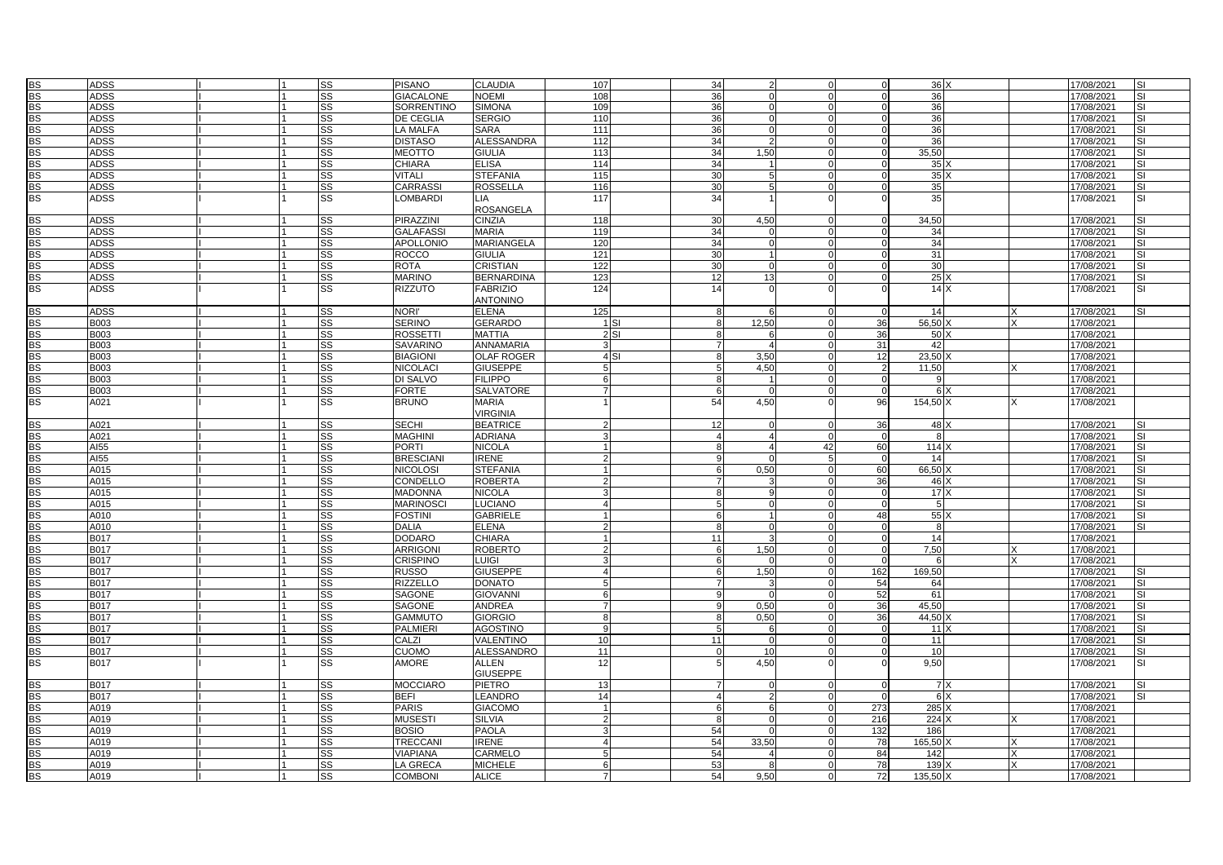| <b>BS</b> | <b>ADSS</b> |  | SS                     | <b>PISANO</b>     | <b>CLAUDIA</b>    | 107            |                 | 34             | $\mathcal{P}$  |                           | 36X             |   | 17/08/2021 | <b>SI</b> |
|-----------|-------------|--|------------------------|-------------------|-------------------|----------------|-----------------|----------------|----------------|---------------------------|-----------------|---|------------|-----------|
| <b>BS</b> | <b>ADSS</b> |  | SS                     | <b>GIACALONE</b>  | <b>NOEMI</b>      | 108            |                 | 36             |                |                           | 36              |   | 17/08/2021 | <b>SI</b> |
| BS        | <b>ADSS</b> |  | SS                     | <b>SORRENTINO</b> | <b>SIMONA</b>     | 109            |                 | 36             | $\Omega$       | $\Omega$                  | 36              |   | 17/08/2021 | <b>SI</b> |
| <b>BS</b> | <b>ADSS</b> |  | <b>SS</b>              | <b>DE CEGLIA</b>  | <b>SERGIO</b>     | 110            |                 | 36             |                |                           | 36              |   | 17/08/2021 | <b>SI</b> |
| <b>BS</b> | <b>ADSS</b> |  | SS                     | <b>LA MALFA</b>   | <b>SARA</b>       | 111            |                 | 36             | <sup>n</sup>   |                           | 36              |   | 17/08/2021 |           |
| <b>BS</b> | <b>ADSS</b> |  | SS                     | <b>DISTASO</b>    | <b>ALESSANDRA</b> | 112            |                 | 34             | 2              |                           | 36              |   | 17/08/2021 |           |
|           |             |  |                        |                   |                   |                |                 |                |                |                           |                 |   |            | SI        |
| <b>BS</b> | <b>ADSS</b> |  | SS                     | <b>MEOTTO</b>     | <b>GIULIA</b>     | 113            |                 | 34             | 1,50           | $\Omega$                  | 35,50           |   | 17/08/2021 | <b>SI</b> |
| <b>BS</b> | <b>ADSS</b> |  | SS                     | <b>CHIARA</b>     | <b>ELISA</b>      | 114            |                 | 34             |                | $\Omega$<br>$\Omega$      | 35              |   | 17/08/2021 | <b>SI</b> |
| <b>BS</b> | <b>ADSS</b> |  | SS                     | <b>VITALI</b>     | <b>STEFANIA</b>   | 115            |                 | 30             | 5              |                           | 35              |   | 17/08/2021 |           |
| <b>BS</b> | <b>ADSS</b> |  | SS                     | CARRASSI          | <b>ROSSELLA</b>   | 116            |                 | 30             | 5              |                           | 35              |   | 17/08/2021 |           |
| <b>BS</b> | <b>ADSS</b> |  | SS                     | LOMBARDI          | <b>LIA</b>        | 117            |                 | 34             |                |                           | 35              |   | 17/08/2021 | <b>SI</b> |
|           |             |  |                        |                   | <b>ROSANGELA</b>  |                |                 |                |                |                           |                 |   |            |           |
| <b>BS</b> | <b>ADSS</b> |  | SS                     | PIRAZZINI         | <b>CINZIA</b>     | 118            |                 | 30             | 4.50           | $\Omega$                  | 34.50           |   | 17/08/2021 | <b>SI</b> |
| BS        | <b>ADSS</b> |  | SS                     | <b>GALAFASSI</b>  | <b>MARIA</b>      | 119            |                 | 34             |                |                           | 34              |   | 17/08/2021 | <b>SI</b> |
| BS        | <b>ADSS</b> |  | $\overline{\text{ss}}$ | <b>APOLLONIO</b>  | <b>MARIANGELA</b> | 120            |                 | 34             | U              |                           | 34              |   | 17/08/2021 |           |
| <b>BS</b> | <b>ADSS</b> |  | SS                     | <b>ROCCO</b>      | <b>GIULIA</b>     | 121            |                 | 30             |                | $\Omega$                  | 31              |   | 17/08/2021 | <b>SI</b> |
| <b>BS</b> | <b>ADSS</b> |  | SS                     | <b>ROTA</b>       | <b>CRISTIAN</b>   | 122            |                 | 30             | O              |                           | 30              |   | 17/08/2021 | <b>SI</b> |
| <b>BS</b> | <b>ADSS</b> |  | SS                     | <b>MARINO</b>     | <b>BERNARDINA</b> | 123            |                 | 12             | 13             | $\Omega$<br>$\Omega$      | 25 <sub>x</sub> |   | 17/08/2021 | <b>SI</b> |
| BS        | <b>ADSS</b> |  | SS                     | <b>RIZZUTO</b>    | <b>FABRIZIO</b>   | 124            |                 | 14             |                |                           | 14X             |   | 17/08/2021 | <b>SI</b> |
|           |             |  |                        |                   | <b>ANTONINO</b>   |                |                 |                |                |                           |                 |   |            |           |
| <b>BS</b> | <b>ADSS</b> |  | SS                     | NORI'             | <b>ELENA</b>      | 125            |                 | 8              |                | $\Omega$<br>$\Omega$      | 14              | X | 17/08/2021 | <b>SI</b> |
|           |             |  |                        |                   |                   |                |                 |                |                |                           |                 |   |            |           |
| <b>BS</b> | <b>B003</b> |  | SS                     | <b>SERINO</b>     | <b>GERARDO</b>    |                | 1 <sub>SI</sub> | 8              | 12,50          | 36                        | 56,50           |   | 17/08/2021 |           |
| BS        | <b>B003</b> |  | SS                     | <b>ROSSETTI</b>   | <b>MATTIA</b>     |                | $2$ SI          | $\mathsf{R}$   | ĥ              | 36<br>$\Omega$            | 50X             |   | 17/08/2021 |           |
| BS        | <b>B003</b> |  | SS                     | <b>SAVARINO</b>   | <b>ANNAMARIA</b>  |                |                 | $\overline{7}$ |                | 31                        | 42              |   | 17/08/2021 |           |
| <b>BS</b> | <b>B003</b> |  | $\overline{\text{ss}}$ | <b>BIAGIONI</b>   | <b>OLAF ROGER</b> |                | 4 S1            | 8              | 3,50           | 12                        | 23,50           |   | 17/08/2021 |           |
| <b>BS</b> | <b>B003</b> |  | SS                     | <b>NICOLACI</b>   | <b>GIUSEPPE</b>   | 5              |                 | 5              | 4,50           | $\mathcal{P}$<br>$\Omega$ | 11,50           |   | 17/08/2021 |           |
| <b>BS</b> | <b>B003</b> |  | SS                     | DI SALVO          | <b>FILIPPO</b>    | 6              |                 | 8              |                | $\Omega$                  | $\mathbf{Q}$    |   | 17/08/2021 |           |
| BS        | <b>B003</b> |  | SS                     | <b>FORTE</b>      | <b>SALVATORE</b>  | $\overline{7}$ |                 | 6              | $\Omega$       | $\Omega$<br>$\Omega$      | 6X              |   | 17/08/2021 |           |
| <b>BS</b> | A021        |  | $\overline{\text{ss}}$ | <b>BRUNO</b>      | <b>MARIA</b>      |                |                 | 54             | 4,50           | 96                        | 154,50 X        |   | 17/08/2021 |           |
|           |             |  |                        |                   | <b>VIRGINIA</b>   |                |                 |                |                |                           |                 |   |            |           |
| <b>BS</b> | A021        |  | SS                     | <b>SECHI</b>      | <b>BEATRICE</b>   | $\mathcal{D}$  |                 | 12             |                | 36<br>$\Omega$            | 48 X            |   | 17/08/2021 | <b>SI</b> |
| <b>BS</b> | A021        |  | SS                     | <b>MAGHINI</b>    | <b>ADRIANA</b>    |                |                 | $\overline{4}$ |                | $\Omega$                  | $\mathbf{R}$    |   | 17/08/2021 | <b>SI</b> |
| BS        | AI55        |  | SS                     | <b>PORTI</b>      | <b>NICOLA</b>     |                |                 | $\mathsf{R}$   | 4              | 60<br>42                  | 114             |   | 17/08/2021 | <b>SI</b> |
| BS        | AI55        |  | SS                     | <b>BRESCIANI</b>  | <b>IRENE</b>      | $\mathcal{P}$  |                 | 9              |                | $\Omega$                  | 14              |   | 17/08/2021 | <b>SI</b> |
| BS        | A015        |  | SS                     | <b>NICOLOSI</b>   | <b>STEFANIA</b>   |                |                 | 6              | 0,50           | 60                        | 66,50           |   | 17/08/2021 | <b>SI</b> |
| <b>BS</b> | A015        |  | <b>SS</b>              | CONDELLO          | <b>ROBERTA</b>    | $\mathcal{P}$  |                 | $\overline{7}$ |                | 36                        | 46 X            |   | 17/08/2021 | <b>SI</b> |
| <b>BS</b> | A015        |  | SS                     | <b>MADONNA</b>    | <b>NICOLA</b>     |                |                 | 8              |                | $\Omega$                  | 17X             |   | 17/08/2021 | <b>SI</b> |
| BS        | A015        |  |                        | <b>MARINOSCI</b>  | <b>LUCIANO</b>    | $\overline{4}$ |                 | 5              | $\Omega$       | $\Omega$                  | 5               |   |            | <b>SI</b> |
|           |             |  | SS                     |                   |                   |                |                 |                |                |                           |                 |   | 17/08/2021 | <b>SI</b> |
| BS        | A010        |  | SS                     | <b>FOSTINI</b>    | <b>GABRIELE</b>   |                |                 | 6              |                | 48                        | 55)             |   | 17/08/2021 |           |
| BS        | A010        |  | SS                     | <b>DALIA</b>      | <b>ELENA</b>      | $\mathcal{P}$  |                 | 8              | $\Omega$       | $\Omega$                  | 8               |   | 17/08/2021 | SI        |
| <b>BS</b> | <b>B017</b> |  | <b>SS</b>              | <b>DODARO</b>     | <b>CHIARA</b>     |                |                 | 11             |                |                           | 14              |   | 17/08/2021 |           |
| <b>BS</b> | <b>B017</b> |  | SS                     | <b>ARRIGONI</b>   | <b>ROBERTO</b>    | $\mathcal{P}$  |                 | 6              | 1,50           | $\Omega$                  | 7,50            |   | 17/08/2021 |           |
| <b>BS</b> | <b>B017</b> |  | SS                     | <b>CRISPINO</b>   | <b>LUIGI</b>      | $\mathcal{R}$  |                 | 6              | $\Omega$       | $\Omega$<br>$\Omega$      | 6               | x | 17/08/2021 |           |
| BS        | <b>B017</b> |  | SS                     | <b>RUSSO</b>      | <b>GIUSEPPE</b>   |                |                 | 6              | 1,50           | 162                       | 169.50          |   | 17/08/2021 |           |
| BS        | <b>B017</b> |  | <b>SS</b>              | <b>RIZZELLO</b>   | <b>DONATO</b>     |                |                 |                |                | 54                        | 64              |   | 17/08/2021 | <b>SI</b> |
| <b>BS</b> | <b>B017</b> |  | <b>SS</b>              | <b>SAGONE</b>     | <b>GIOVANNI</b>   | 6              |                 | 9              |                | 52<br>$\Omega$            | 61              |   | 17/08/2021 | <b>SI</b> |
| <b>BS</b> | <b>B017</b> |  | SS                     | SAGONE            | <b>ANDREA</b>     | $\overline{7}$ |                 | 9              | 0,50           | 36                        | 45,50           |   | 17/08/2021 | <b>SI</b> |
| <b>BS</b> | <b>B017</b> |  | SS                     | <b>GAMMUTO</b>    | <b>GIORGIO</b>    | 8              |                 | 8              | 0.50           | 36<br>$\Omega$            | $44.50$ )       |   | 17/08/2021 | <b>SI</b> |
| BS        | <b>B017</b> |  | SS                     | <b>PALMIERI</b>   | <b>AGOSTINO</b>   | 9              |                 | 5              | 6              | $\Omega$                  | $11 \times$     |   | 17/08/2021 | <b>SI</b> |
| BS        | <b>B017</b> |  | $\overline{\text{ss}}$ | CALZI             | <b>VALENTINO</b>  | 10             |                 | 11             | $\Omega$       | $\Omega$                  | 11              |   | 17/08/2021 | <b>SI</b> |
| <b>BS</b> | <b>B017</b> |  | <b>SS</b>              | <b>CUOMO</b>      | <b>ALESSANDRO</b> | 11             |                 | $\Omega$       | 10             | $\Omega$                  | 10              |   | 17/08/2021 | <b>SI</b> |
| <b>BS</b> | <b>B017</b> |  | SS                     | <b>AMORE</b>      | <b>ALLEN</b>      | 12             |                 | 5              | 4,50           | $\Omega$                  | 9,50            |   | 17/08/2021 | SI        |
|           |             |  |                        |                   | <b>GIUSEPPE</b>   |                |                 |                |                |                           |                 |   |            |           |
| BS        | <b>B017</b> |  | <b>SS</b>              | <b>MOCCIARO</b>   | <b>PIETRO</b>     | 13             |                 |                |                |                           | 7 X             |   | 17/08/2021 |           |
| BS        | <b>B017</b> |  | $\overline{\text{ss}}$ | <b>BEFI</b>       | <b>LEANDRO</b>    | 14             |                 | $\overline{4}$ | $\overline{2}$ | $\Omega$                  | 6X              |   | 17/08/2021 |           |
|           |             |  |                        |                   |                   |                |                 |                | ĥ              |                           |                 |   |            |           |
| <b>BS</b> | A019        |  | SS                     | <b>PARIS</b>      | <b>GIACOMO</b>    |                |                 | 6              |                | 273                       | 285 X           |   | 17/08/2021 |           |
| <b>BS</b> | A019        |  | SS                     | <b>MUSEST</b>     | <b>SILVIA</b>     |                |                 | 8              | $\Omega$       | 216                       | 224)            |   | 17/08/2021 |           |
| <b>BS</b> | A019        |  | SS                     | <b>BOSIO</b>      | <b>PAOLA</b>      | $\mathcal{R}$  |                 | 54             | $\Omega$       | 132<br>$\Omega$           | 186             |   | 17/08/2021 |           |
| BS        | A019        |  | $\overline{\text{ss}}$ | TRECCANI          | <b>IRENE</b>      |                |                 | 54             | 33,50          | 78                        | 165.50          |   | 17/08/2021 |           |
| BS        | A019        |  | $\overline{\text{ss}}$ | <b>VIAPIANA</b>   | <b>CARMELO</b>    | 5              |                 | 54             |                | 84                        | 142             |   | 17/08/2021 |           |
| <b>BS</b> | A019        |  | SS                     | LA GRECA          | <b>MICHELE</b>    | 6              |                 | 53             |                | 78                        | 139             |   | 17/08/2021 |           |
| <b>BS</b> | A019        |  | SS                     | <b>COMBONI</b>    | <b>ALICE</b>      |                |                 | 54             | 9,50           | 72                        | 135,50 >        |   | 17/08/2021 |           |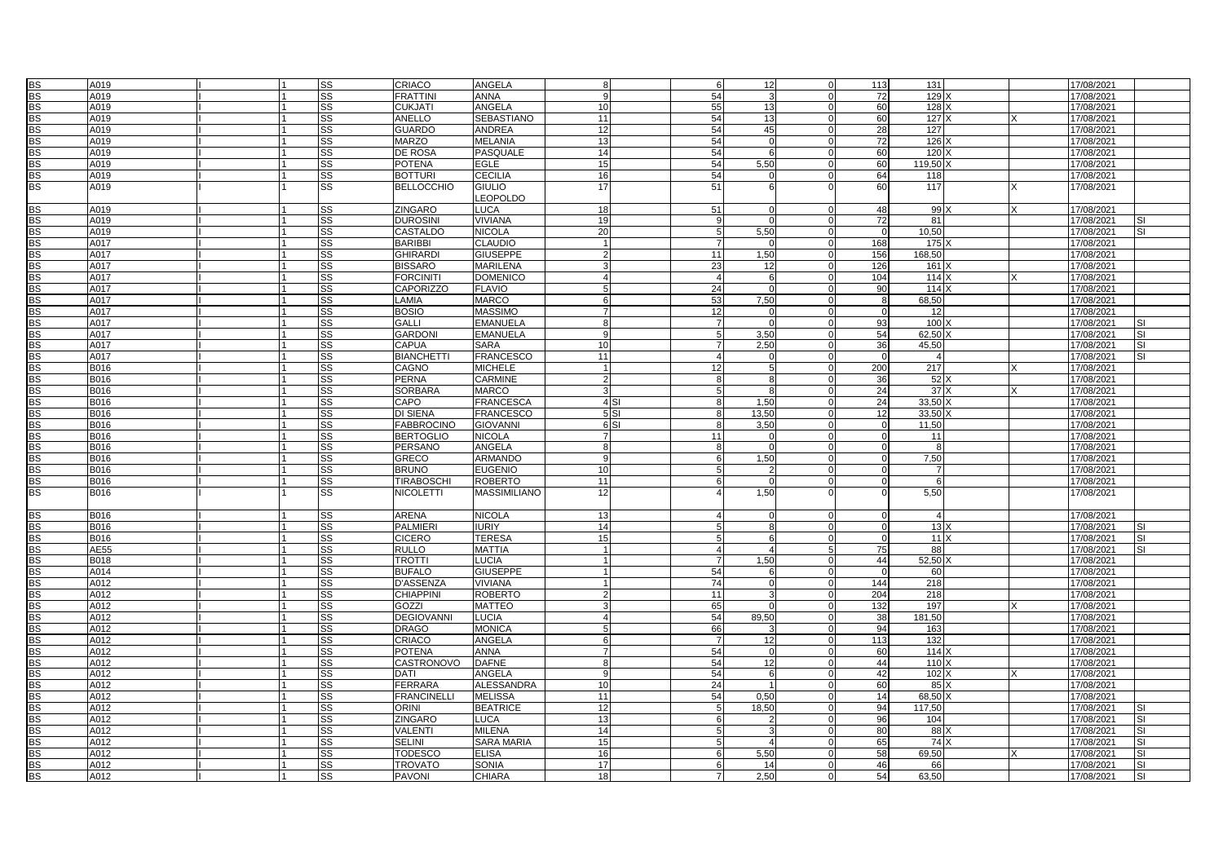| <b>BS</b> | A019        |  | <b>SS</b>              | <b>CRIACO</b>      | <b>ANGELA</b>       |                |                 | 6              | 12                 |          | 113            | 131           |  | 17/08/2021 |           |
|-----------|-------------|--|------------------------|--------------------|---------------------|----------------|-----------------|----------------|--------------------|----------|----------------|---------------|--|------------|-----------|
|           |             |  |                        |                    |                     |                |                 |                |                    |          |                |               |  |            |           |
| <b>BS</b> | A019        |  | SS                     | <b>FRATTINI</b>    | <b>ANNA</b>         |                |                 | 54             | 3                  |          | 72             | 129           |  | 17/08/2021 |           |
| <b>BS</b> | A019        |  | <b>SS</b>              | <b>CUKJATI</b>     | ANGELA              | 10             |                 | 55             | 13                 | $\Omega$ | 60             | $128$ )       |  | 17/08/2021 |           |
| <b>BS</b> | A019        |  | <b>ISS</b>             | ANELLO             | <b>SEBASTIANO</b>   | 11             |                 | 54             | 13                 |          | 60             | 127 X         |  | 17/08/2021 |           |
| <b>BS</b> | A019        |  | $\overline{\text{ss}}$ | <b>GUARDO</b>      | <b>ANDREA</b>       | 12             |                 | 54             | 45                 |          | 28             | 127           |  | 17/08/2021 |           |
|           |             |  |                        |                    |                     |                |                 |                |                    |          |                |               |  |            |           |
| <b>BS</b> | A019        |  | <b>SS</b>              | <b>MARZO</b>       | <b>MELANIA</b>      | 13             |                 | 54             |                    |          | 72             | 126           |  | 17/08/2021 |           |
| <b>BS</b> | A019        |  | SS                     | DE ROSA            | PASQUALE            | 14             |                 | 54             | 6                  |          | 60             | 120           |  | 17/08/2021 |           |
| <b>BS</b> | A019        |  | <b>SS</b>              | <b>POTENA</b>      | <b>EGLE</b>         | 15             |                 | 54             | 5,50               | $\Omega$ | 60             | 119,50        |  | 17/08/2021 |           |
| <b>BS</b> | A019        |  | <b>ISS</b>             | <b>BOTTURI</b>     | <b>CECILIA</b>      | 16             |                 | 54             | $\Omega$           |          | 64             | 118           |  | 17/08/2021 |           |
| <b>BS</b> | A019        |  | $\overline{\text{ss}}$ | <b>BELLOCCHIO</b>  | <b>GIULIO</b>       | 17             |                 | 51             | 6                  |          | 60             | 117           |  | 17/08/2021 |           |
|           |             |  |                        |                    |                     |                |                 |                |                    |          |                |               |  |            |           |
|           |             |  |                        |                    | <b>LEOPOLDO</b>     |                |                 |                |                    |          |                |               |  |            |           |
| <b>BS</b> | A019        |  | SS                     | <b>ZINGARO</b>     | <b>LUCA</b>         | 18             |                 | 51             | U                  |          | 48             | 99            |  | 17/08/2021 |           |
| <b>BS</b> | A019        |  | <b>SS</b>              | <b>DUROSINI</b>    | <b>VIVIANA</b>      | 19             |                 | $\mathbf{q}$   | $\Omega$           | $\Omega$ | 72             | 81            |  | 17/08/2021 | <b>SI</b> |
| <b>BS</b> | A019        |  | SS                     | <b>CASTALDO</b>    | <b>NICOLA</b>       | 20             |                 | .5             | 5,50               |          | $\Omega$       | 10,50         |  | 17/08/2021 | <b>SI</b> |
| <b>BS</b> | A017        |  | SS                     | <b>BARIBBI</b>     | <b>CLAUDIO</b>      |                |                 |                | $\Omega$           | $\Omega$ | 168            | 175           |  | 17/08/2021 |           |
|           |             |  |                        |                    |                     |                |                 |                |                    |          |                |               |  |            |           |
| <b>BS</b> | A017        |  | <b>SS</b>              | <b>GHIRARDI</b>    | <b>GIUSEPPE</b>     | $\mathcal{P}$  |                 | 11             | 1,50               |          | 156            | 168,50        |  | 17/08/2021 |           |
| <b>BS</b> | A017        |  | SS                     | <b>BISSARO</b>     | <b>MARILENA</b>     |                |                 | 23             | 12                 |          | 126            | 161)          |  | 17/08/2021 |           |
| <b>BS</b> | A017        |  | <b>SS</b>              | <b>FORCINITI</b>   | <b>DOMENICO</b>     |                |                 | $\overline{4}$ | 6                  | $\Omega$ | 104            | 114           |  | 17/08/2021 |           |
| <b>BS</b> | A017        |  | SS                     | <b>CAPORIZZO</b>   | <b>FLAVIO</b>       | 5              |                 | 24             | $\Omega$           |          | 90             | 114)          |  | 17/08/2021 |           |
| <b>BS</b> |             |  |                        | LAMIA              | <b>MARCO</b>        |                |                 | 53             | 7.50               | $\Omega$ |                | 68.50         |  | 17/08/2021 |           |
|           | A017        |  | <b>SS</b>              |                    |                     | 6              |                 |                |                    |          | 8              |               |  |            |           |
| <b>BS</b> | A017        |  | SS                     | <b>BOSIO</b>       | <b>MASSIMO</b>      |                |                 | 12             |                    |          |                | 12            |  | 17/08/2021 |           |
| <b>BS</b> | A017        |  | SS                     | <b>GALLI</b>       | <b>EMANUELA</b>     | 8              |                 |                | U                  |          | 93             | 100           |  | 17/08/2021 |           |
| <b>BS</b> | A017        |  | <b>SS</b>              | <b>GARDON</b>      | <b>EMANUELA</b>     | 9              |                 | 5              | 3,50               | $\Omega$ | 54             | $62,50$ )     |  | 17/08/2021 | <b>SI</b> |
| <b>BS</b> | A017        |  | SS                     | <b>CAPUA</b>       | <b>SARA</b>         | 10             |                 |                | 2,50               |          | 36             | 45,50         |  | 17/08/2021 | <b>SI</b> |
|           |             |  |                        |                    |                     |                |                 | $\overline{4}$ |                    |          |                |               |  |            |           |
| <b>BS</b> | A017        |  | <b>SS</b>              | <b>BIANCHETTI</b>  | <b>FRANCESCO</b>    | 11             |                 |                | $\Omega$           | $\Omega$ | $\overline{0}$ | -4            |  | 17/08/2021 | <b>SI</b> |
| <b>BS</b> | B016        |  | SS                     | CAGNO              | <b>MICHELE</b>      |                |                 | 12             | 5                  |          | 200            | 217           |  | 17/08/2021 |           |
| <b>BS</b> | B016        |  | SS                     | <b>PERNA</b>       | <b>CARMINE</b>      | $\mathfrak{p}$ |                 | -8             | $\mathsf{R}$       |          | 36             | 52            |  | 17/08/2021 |           |
| <b>BS</b> | B016        |  | <b>SS</b>              | <b>SORBARA</b>     | <b>MARCO</b>        | 3              |                 | 5              | 8                  | $\Omega$ | 24             | 37X           |  | 17/08/2021 |           |
| <b>BS</b> | B016        |  | SS                     | CAPO               | <b>FRANCESCA</b>    |                | 4 <sub>SI</sub> | 8              | 1,50               |          | 24             | 33,50 >       |  | 17/08/2021 |           |
|           |             |  |                        |                    |                     |                |                 |                |                    |          |                |               |  |            |           |
| <b>BS</b> | <b>B016</b> |  | <b>SS</b>              | <b>DI SIENA</b>    | <b>FRANCESCO</b>    |                | 5 SI            | 8              | 13.50              | $\Omega$ | 12             | 33.50         |  | 17/08/2021 |           |
| <b>BS</b> | B016        |  | SS                     | <b>FABBROCINO</b>  | <b>GIOVANNI</b>     |                | 6S1             | 8              | 3,50               |          | $\Omega$       | 11,50         |  | 17/08/2021 |           |
| <b>BS</b> | B016        |  | SS                     | <b>BERTOGLIO</b>   | <b>NICOLA</b>       | $\overline{7}$ |                 | 11             | $\Omega$           |          | $\Omega$       | 11            |  | 17/08/2021 |           |
| <b>BS</b> | B016        |  | <b>SS</b>              | <b>PERSANO</b>     | <b>ANGELA</b>       | 8              |                 | 8              | $\Omega$           | $\Omega$ |                | -8            |  | 17/08/2021 |           |
| <b>BS</b> | B016        |  | SS                     | <b>GRECO</b>       | <b>ARMANDO</b>      | 9              |                 | 6              | 1,50               |          | $\Omega$       | 7,50          |  | 17/08/2021 |           |
|           |             |  |                        |                    |                     |                |                 |                |                    |          |                |               |  |            |           |
| <b>BS</b> | B016        |  | <b>SS</b>              | <b>BRUNO</b>       | <b>EUGENIO</b>      | 10             |                 | 5              | $\mathcal{P}$      | $\Omega$ | $\Omega$       | - 7           |  | 17/08/2021 |           |
| <b>BS</b> | <b>B016</b> |  | SS                     | <b>TIRABOSCHI</b>  | <b>ROBERTO</b>      | 11             |                 | 6              | $\Omega$           | $\Omega$ | $\Omega$       | -6            |  | 17/08/2021 |           |
| <b>BS</b> | B016        |  | SS                     | <b>NICOLETTI</b>   | <b>MASSIMILIANO</b> | 12             |                 | 4              | 1,50               |          |                | 5,50          |  | 17/08/2021 |           |
|           |             |  |                        |                    |                     |                |                 |                |                    |          |                |               |  |            |           |
| <b>BS</b> | B016        |  | SS                     | <b>ARENA</b>       | <b>NICOLA</b>       | 13             |                 | $\overline{4}$ | $\Omega$           |          | $\Omega$       | $\Delta$      |  | 17/08/2021 |           |
|           |             |  |                        |                    |                     |                |                 |                |                    |          |                |               |  |            |           |
| <b>BS</b> | <b>B016</b> |  | <b>SS</b>              | <b>PALMIERI</b>    | <b>IURIY</b>        | 14             |                 | 5              | 8                  | $\Omega$ | $\Omega$       | 13X           |  | 17/08/2021 |           |
| <b>BS</b> | <b>B016</b> |  | SS                     | <b>CICERO</b>      | <b>TERESA</b>       | 15             |                 | .5             | 6                  | $\Omega$ | $\Omega$       | 11            |  | 17/08/2021 | ΙSΙ       |
| <b>BS</b> | AE55        |  | SS                     | <b>RULLO</b>       | <b>MATTIA</b>       |                |                 | $\overline{a}$ | 4                  | 5        | 75             | 88            |  | 17/08/2021 |           |
| <b>BS</b> | B018        |  | <b>SS</b>              | <b>TROTTI</b>      | <b>LUCIA</b>        |                |                 | $\overline{7}$ | 1,50               |          | 44             | 52,50         |  | 17/08/2021 |           |
| <b>BS</b> | A014        |  | SS                     | <b>BUFALO</b>      | <b>GIUSEPPE</b>     |                |                 | 54             | 6                  |          | $\Omega$       | 60            |  | 17/08/2021 |           |
|           |             |  |                        |                    |                     |                |                 |                |                    |          |                |               |  |            |           |
| <b>BS</b> | A012        |  | <b>SS</b>              | <b>D'ASSENZA</b>   | <b>VIVIANA</b>      | -11            |                 | 74             | $\Omega$           | $\Omega$ | 144            | 218           |  | 17/08/2021 |           |
| <b>BS</b> | A012        |  | SS                     | <b>CHIAPPINI</b>   | <b>ROBERTO</b>      | $\overline{2}$ |                 | 11             | 3                  | 5        | 204            | 218           |  | 17/08/2021 |           |
| <b>BS</b> | A012        |  | SS                     | <b>GOZZI</b>       | <b>MATTEO</b>       | 3              |                 | 65             | $\Omega$           |          | 132            | 197           |  | 17/08/2021 |           |
| <b>BS</b> | A012        |  | SS                     | <b>DEGIOVANNI</b>  | <b>LUCIA</b>        |                |                 | 54             | 89,50              |          | 38             | 181,50        |  | 17/08/2021 |           |
| <b>BS</b> | A012        |  | <b>SS</b>              | <b>DRAGO</b>       | <b>MONICA</b>       | 5              |                 | 66             |                    |          | 94             | 163           |  | 17/08/2021 |           |
|           |             |  |                        |                    |                     |                |                 |                |                    |          |                |               |  |            |           |
| <b>BS</b> | A012        |  | <b>SS</b>              | CRIACO             | ANGELA              | 6              |                 | $\overline{7}$ | 12                 | $\Omega$ | 113            | 132           |  | 17/08/2021 |           |
| <b>BS</b> | A012        |  | SS                     | <b>POTENA</b>      | <b>ANNA</b>         | $\overline{7}$ |                 | 54             | $\Omega$           |          | 60             | $\boxed{114}$ |  | 17/08/2021 |           |
| <b>BS</b> | A012        |  | SS                     | CASTRONOVO         | <b>DAFNE</b>        | 8              |                 | 54             | 12                 |          | 44             | 110           |  | 17/08/2021 |           |
| <b>BS</b> | A012        |  | SS                     | DATI               | <b>ANGELA</b>       | q              |                 | 54             | 6                  |          | 42             | $102 \times$  |  | 17/08/2021 |           |
| <b>BS</b> | A012        |  | <b>SS</b>              | <b>FERRARA</b>     | <b>ALESSANDRA</b>   | 10             |                 | 24             |                    |          | 60             | 85 X          |  | 17/08/2021 |           |
|           |             |  |                        |                    |                     |                |                 |                |                    |          |                |               |  |            |           |
| <b>BS</b> | A012        |  | <b>SS</b>              | <b>FRANCINELLI</b> | <b>MELISSA</b>      | 11             |                 | 54             | 0,50               | $\Omega$ | 14             | 68,50 >       |  | 17/08/2021 |           |
| <b>BS</b> | A012        |  | SS                     | ORINI              | <b>BEATRICE</b>     | 12             |                 |                | 18,50              |          | 94             | 117.50        |  | 17/08/2021 |           |
| <b>BS</b> | A012        |  | $\overline{\text{ss}}$ | <b>ZINGARO</b>     | <b>LUCA</b>         | 13             |                 |                | $\overline{2}$     |          | 96             | 104           |  | 17/08/2021 |           |
| <b>BS</b> | A012        |  | SS                     | VALENTI            | <b>MILENA</b>       | 14             |                 |                | $\mathbf{\hat{z}}$ |          | 80             | 88            |  | 17/08/2021 | S.        |
| <b>BS</b> | A012        |  | <b>SS</b>              | <b>SELINI</b>      |                     | 15             |                 |                |                    |          | 65             |               |  |            | <b>SI</b> |
|           |             |  |                        |                    | SARA MARIA          |                |                 |                |                    |          |                | 74)           |  | 17/08/2021 |           |
| <b>BS</b> | A012        |  | <b>SS</b>              | <b>TODESCO</b>     | <b>ELISA</b>        | 16             |                 | 6              | 5,50               |          | 58             | 69,50         |  | 17/08/2021 | <b>SI</b> |
| <b>BS</b> | A012        |  | SS                     | <b>TROVATO</b>     | SONIA               | 17             |                 | 6              | 14                 |          | 46             | 66            |  | 17/08/2021 | <b>SI</b> |
| <b>BS</b> | A012        |  | $\overline{\text{ss}}$ | <b>PAVONI</b>      | <b>CHIARA</b>       | 18             |                 | 7              | 2.50               | $\Omega$ | 54             | 63,50         |  | 17/08/2021 | <b>SI</b> |
|           |             |  |                        |                    |                     |                |                 |                |                    |          |                |               |  |            |           |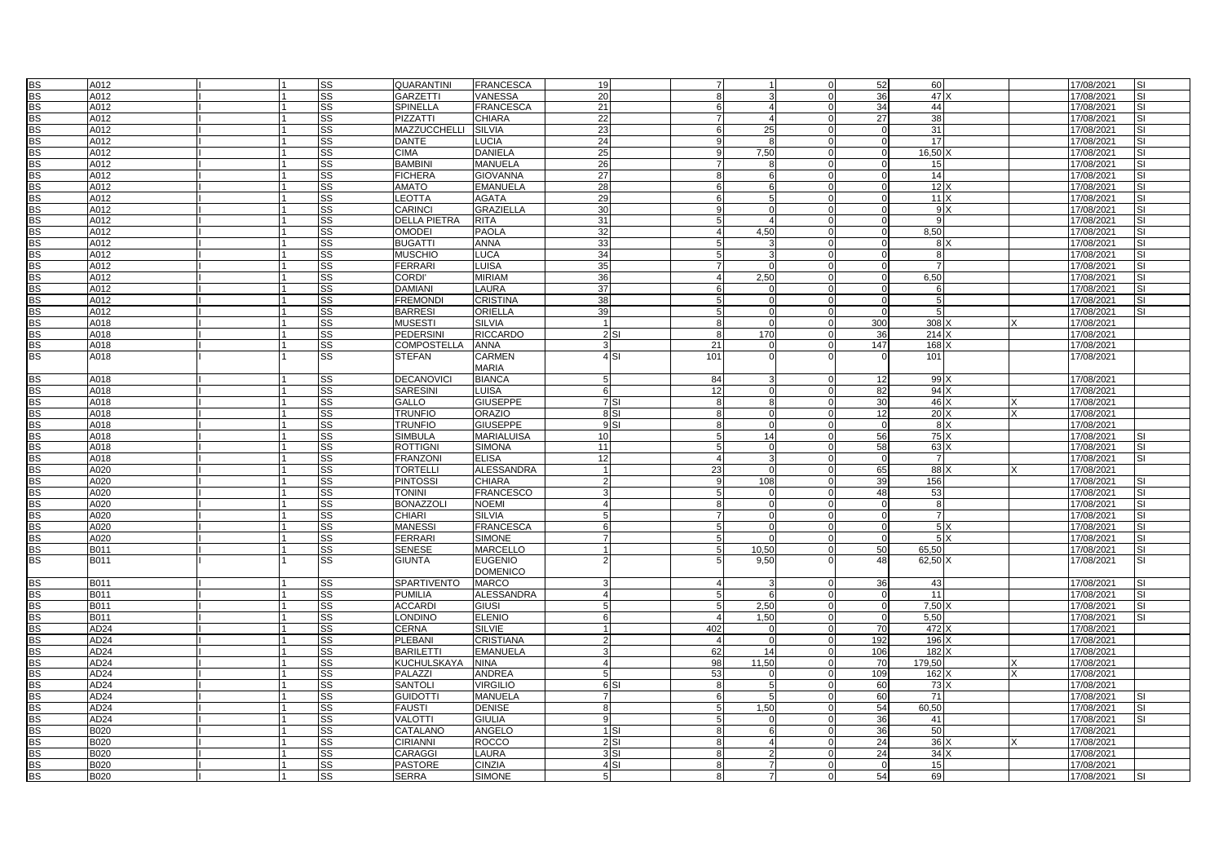| <b>BS</b>       | A012             |  | <b>SS</b> | QUARANTINI          | <b>FRANCESCA</b>  | 19              | $\overline{7}$ |                  |               | 52             | 60             |     | 17/08/2021 | <b>SI</b>                |
|-----------------|------------------|--|-----------|---------------------|-------------------|-----------------|----------------|------------------|---------------|----------------|----------------|-----|------------|--------------------------|
| <b>BS</b>       | A012             |  | SS        | GARZETTI            | VANESSA           | 20              | 8              | 3                |               | 36             | 47)            |     | 17/08/2021 | <b>SI</b>                |
|                 |                  |  |           |                     |                   |                 |                |                  |               |                |                |     |            |                          |
| <b>BS</b>       | A012             |  | SS        | SPINELLA            | <b>FRANCESCA</b>  | 21              | 6              | 4                | $\Omega$      | 34             | 44             |     | 17/08/2021 | SI                       |
| <b>BS</b>       | A012             |  | SS        | PIZZATTI            | <b>CHIARA</b>     | 22              | $\overline{7}$ | 4                | $\Omega$      | 27             | 38             |     | 17/08/2021 | $\overline{\mathsf{S}}$  |
| <b>BS</b>       | A012             |  | SS        | MAZZUCCHELLI        | <b>SILVIA</b>     | 23              | 6              | 25               | $\Omega$      | $\Omega$       | 31             |     | 17/08/2021 | SI                       |
| <b>BS</b>       | A012             |  | <b>SS</b> | <b>DANTE</b>        | <b>LUCIA</b>      | 24              | 9              | 8                |               | $\Omega$       | 17             |     | 17/08/2021 | <b>SI</b>                |
| <b>BS</b>       | A012             |  | <b>SS</b> | <b>CIMA</b>         | <b>DANIELA</b>    | 25              | 9              | 7,50             |               | $\mathbf 0$    | 16,50          |     | 17/08/2021 | <b>SI</b>                |
| <b>BS</b>       | A012             |  | <b>SS</b> | BAMBINI             | <b>MANUELA</b>    | 26              | $\overline{7}$ | $\mathsf{R}$     | $\Omega$      | $\Omega$       | 15             |     | 17/08/2021 | SI                       |
| $\overline{BS}$ | A012             |  | SS        | <b>FICHERA</b>      | <b>GIOVANNA</b>   | 27              |                | 6                | $\Omega$      | $\mathbf 0$    | 14             |     |            | $\overline{\mathsf{S}}$  |
|                 |                  |  |           |                     |                   |                 | 8              |                  |               |                |                |     | 17/08/2021 |                          |
| <b>BS</b>       | A012             |  | <b>SS</b> | <b>AMATO</b>        | <b>EMANUELA</b>   | 28              | 6              | 6                | $\Omega$      | $\Omega$       | $12 \times$    |     | 17/08/2021 | SI                       |
| <b>BS</b>       | A012             |  | <b>SS</b> | LEOTTA              | <b>AGATA</b>      | 29              | 6              | 5 <sup>1</sup>   | C             | $\Omega$       | 11X            |     | 17/08/2021 | <b>SI</b>                |
| <b>BS</b>       | A012             |  | <b>SS</b> | CARINCI             | <b>GRAZIELLA</b>  | 30              | 9              | $\Omega$         | $\Omega$      | $\mathbf 0$    |                | 9 X | 17/08/2021 | <b>SI</b>                |
| <b>BS</b>       | A012             |  | <b>SS</b> | <b>DELLA PIETRA</b> | <b>RITA</b>       | 31              | 5              | $\overline{4}$   | $\Omega$      | $\mathbf 0$    | 9              |     | 17/08/2021 | SI                       |
| <b>BS</b>       | A012             |  | <b>SS</b> | <b>OMODEI</b>       | <b>PAOLA</b>      | 32              | $\overline{4}$ | 4,50             | $\Omega$      | $\mathbf 0$    | 8,50           |     | 17/08/2021 | <b>SI</b>                |
| <b>BS</b>       | A012             |  | <b>SS</b> | <b>BUGATTI</b>      | <b>ANNA</b>       | 33              | 5              | 3                | $\Omega$      | $\Omega$       | 8 X            |     | 17/08/2021 | <b>SI</b>                |
| <b>BS</b>       | A012             |  | <b>SS</b> | <b>MUSCHIO</b>      | <b>LUCA</b>       | 34              | 5              | 3                | $\mathcal{C}$ | $\Omega$       | 8              |     | 17/08/2021 | <b>SI</b>                |
| <b>BS</b>       | A012             |  | <b>SS</b> | <b>FERRARI</b>      | <b>LUISA</b>      | 35              | $\overline{7}$ | $\Omega$         | $\Omega$      | $\mathbf 0$    |                |     | 17/08/2021 | <b>SI</b>                |
|                 |                  |  |           |                     |                   |                 |                |                  |               |                |                |     |            |                          |
| <b>BS</b>       | A012             |  | <b>SS</b> | <b>CORDI'</b>       | <b>MIRIAM</b>     | 36              | $\overline{4}$ | 2,50             | $\Omega$      | $\mathbf 0$    | 6,50           |     | 17/08/2021 | <b>SI</b>                |
| <b>BS</b>       | A012             |  | <b>SS</b> | DAMIANI             | LAURA             | 37              | 6              | $\Omega$         | $\Omega$      | $\Omega$       | - 6            |     | 17/08/2021 | <b>SI</b>                |
| <b>BS</b>       | A012             |  | <b>SS</b> | <b>FREMOND</b>      | <b>CRISTINA</b>   | 38              | 5              | $\Omega$         | $\Omega$      | $\Omega$       | 5              |     | 17/08/2021 | <b>SI</b>                |
| <b>BS</b>       | A012             |  | <b>SS</b> | <b>BARRESI</b>      | <b>ORIELLA</b>    | 39              | 5              | $\Omega$         |               | $\Omega$       | -5             |     | 17/08/2021 | <b>SI</b>                |
| <b>BS</b>       | A018             |  | <b>SS</b> | <b>MUSESTI</b>      | <b>SILVIA</b>     | $\overline{1}$  | 8              | $\Omega$         | $\Omega$      | 300            | 308            |     | 17/08/2021 |                          |
| <b>BS</b>       | A018             |  | <b>SS</b> | PEDERSINI           | <b>RICCARDO</b>   | 2SI             | 8              | 170              | $\Omega$      | 36             | 214 X          |     | 17/08/2021 |                          |
| <b>BS</b>       | A018             |  | SS        | COMPOSTELLA         | <b>ANNA</b>       |                 | 21             | $\Omega$         | $\Omega$      | 147            | 168 X          |     | 17/08/2021 |                          |
| <b>BS</b>       | A018             |  | SS        | <b>STEFAN</b>       | <b>CARMEN</b>     | 4 <sub>SI</sub> | 101            | $\Omega$         |               |                | 101            |     |            |                          |
|                 |                  |  |           |                     |                   |                 |                |                  |               |                |                |     | 17/08/2021 |                          |
|                 |                  |  |           |                     | <b>MARIA</b>      |                 |                |                  |               |                |                |     |            |                          |
| <b>BS</b>       | A018             |  | <b>SS</b> | <b>DECANOVICI</b>   | <b>BIANCA</b>     |                 | 84             | 3                |               | 12             | 99)            |     | 17/08/2021 |                          |
| <b>BS</b>       | A018             |  | <b>SS</b> | SARESINI            | <b>LUISA</b>      | 6               | 12             | $\Omega$         | $\Omega$      | 82             | 94 X           |     | 17/08/2021 |                          |
| <b>BS</b>       | A018             |  | SS        | GALLO               | <b>GIUSEPPE</b>   | 7 SI            | 8              | 8                |               | 30             | 46 X           |     | 17/08/2021 |                          |
| <b>BS</b>       | A018             |  | SS        | <b>TRUNFIO</b>      | <b>ORAZIO</b>     | 8 SI            | 8              | $\Omega$         | $\Omega$      | 12             | 20X            |     | 17/08/2021 |                          |
| <b>BS</b>       | A018             |  | <b>SS</b> | <b>TRUNFIO</b>      | <b>GIUSEPPE</b>   | 9S              | 8              | $\Omega$         | C             | $\mathbf 0$    |                | 8 X | 17/08/2021 |                          |
| <b>BS</b>       | A018             |  | <b>SS</b> | <b>SIMBULA</b>      | <b>MARIALUISA</b> | 10              | 5              | 14               | $\Omega$      | 56             | 75 X           |     | 17/08/2021 | S.                       |
|                 |                  |  | <b>SS</b> | ROTTIGNI            | <b>SIMONA</b>     | 11              |                | $\Omega$         | $\Omega$      |                |                |     |            |                          |
| <b>BS</b>       | A018             |  |           |                     |                   |                 | 5              |                  |               | 58             | 63 X           |     | 17/08/2021 | SI                       |
| <b>BS</b>       | A018             |  | <b>SS</b> | <b>FRANZONI</b>     | <b>ELISA</b>      | 12              | $\overline{4}$ | 3                |               | $\Omega$       | $\overline{7}$ |     | 17/08/2021 | SI                       |
| <b>BS</b>       | A020             |  | <b>SS</b> | <b>TORTELLI</b>     | <b>ALESSANDRA</b> |                 | 23             | $\Omega$         | $\Omega$      | 65             | 88 X           |     | 17/08/2021 |                          |
| <b>BS</b>       | A020             |  | SS        | PINTOSSI            | CHIARA            |                 | 9              | 108              |               | 39             | 156            |     | 17/08/2021 | <b>SI</b>                |
| <b>BS</b>       | A020             |  | <b>SS</b> | <b>TONINI</b>       | <b>FRANCESCO</b>  |                 | 5              | $\Omega$         | $\Omega$      | 48             | 53             |     | 17/08/2021 | <b>SI</b>                |
| <b>BS</b>       | A020             |  | <b>SS</b> | <b>BONAZZOLI</b>    | <b>NOEMI</b>      |                 | 8              | $\Omega$         | $\Omega$      | $\mathbf 0$    | 8              |     | 17/08/2021 | <b>SI</b>                |
| <b>BS</b>       | A020             |  | <b>SS</b> | CHIARI              | <b>SILVIA</b>     |                 | $\overline{7}$ | $\Omega$         | $\Omega$      | $\Omega$       | $\overline{7}$ |     | 17/08/2021 | <b>SI</b>                |
| <b>BS</b>       | A020             |  | <b>SS</b> | MANESSI             | <b>FRANCESCA</b>  | 6               | 5              | $\Omega$         | $\Omega$      | $\overline{0}$ |                | 5 X | 17/08/2021 | <b>SI</b>                |
| <b>BS</b>       | A020             |  | <b>SS</b> | FERRARI             | <b>SIMONE</b>     |                 | 5              | $\Omega$         | $\Omega$      | $\overline{0}$ |                | 5X  | 17/08/2021 | <b>SI</b>                |
|                 |                  |  |           |                     |                   |                 |                |                  |               |                |                |     |            |                          |
| <b>BS</b>       | B011             |  | <b>SS</b> | <b>SENESE</b>       | <b>MARCELLO</b>   |                 | 5              | 10,50            | $\Omega$      | 50             | 65.50          |     | 17/08/2021 | <b>SI</b>                |
| <b>BS</b>       | B011             |  | <b>SS</b> | GIUNTA              | <b>EUGENIO</b>    |                 | 5              | 9,50             |               | 48             | 62,50 X        |     | 17/08/2021 | <b>SI</b>                |
|                 |                  |  |           |                     | <b>DOMENICO</b>   |                 |                |                  |               |                |                |     |            |                          |
| <b>BS</b>       | B011             |  | <b>SS</b> | SPARTIVENTO         | <b>MARCO</b>      |                 | $\overline{4}$ | 3                | $\Omega$      | 36             | 43             |     | 17/08/2021 | <b>SI</b>                |
| <b>BS</b>       | <b>B011</b>      |  | SS        | PUMILIA             | <b>ALESSANDRA</b> |                 | 5              | 6                | $\Omega$      | $\mathbf 0$    | 11             |     | 17/08/2021 | <b>I</b> SI              |
| <b>BS</b>       | B011             |  | <b>SS</b> | <b>ACCARDI</b>      | <b>GIUSI</b>      |                 | 5              | 2,50             | $\Omega$      | $\mathbf 0$    | 7.50           |     | 17/08/2021 | <b>SI</b>                |
| <b>BS</b>       | B011             |  | <b>SS</b> | LONDINO             | <b>ELENIO</b>     | 6               | $\overline{4}$ | 1,50             | $\Omega$      | $\overline{0}$ | 5,50           |     | 17/08/2021 | <b>SI</b>                |
| <b>BS</b>       | AD <sub>24</sub> |  | <b>SS</b> | <b>CERNA</b>        | <b>SILVIE</b>     |                 | 402            | $\Omega$         | $\Omega$      | 70             | 472 >          |     | 17/08/2021 |                          |
|                 |                  |  |           |                     |                   |                 |                |                  |               |                |                |     |            |                          |
| <b>BS</b>       | AD <sub>24</sub> |  | <b>SS</b> | PLEBANI             | <b>CRISTIANA</b>  |                 | $\overline{4}$ | $\Omega$         | $\Omega$      | 192            | 196 X          |     | 17/08/2021 |                          |
| <b>BS</b>       | AD24             |  | SS        | <b>BARILETTI</b>    | <b>EMANUELA</b>   |                 | 62             | 14               | $\Omega$      | 106            | 182 X          |     | 17/08/2021 |                          |
| <b>BS</b>       | AD <sub>24</sub> |  | <b>SS</b> | KUCHULSKAYA         | <b>NINA</b>       |                 | 98             | 11,50            | $\Omega$      | 70             | 179,50         |     | 17/08/2021 |                          |
| <b>BS</b>       | AD <sub>24</sub> |  | SS        | PALAZZI             | <b>ANDREA</b>     |                 | 53             | $\Omega$         | $\Omega$      | 109            | 162 X          |     | 17/08/2021 |                          |
| <b>BS</b>       | AD <sub>24</sub> |  | <b>SS</b> | <b>SANTOLI</b>      | <b>VIRGILIO</b>   | 6 <sub>SI</sub> | 8              | 5 <sup>1</sup>   | $\Omega$      | 60             | 73 X           |     | 17/08/2021 |                          |
| <b>BS</b>       | AD <sub>24</sub> |  | SS        | GUIDOTTI            | <b>MANUELA</b>    | 7               | 6              | 5 <sup>1</sup>   | $\Omega$      | 60             | 71             |     | 17/08/2021 | <b>SI</b>                |
| <b>BS</b>       | AD <sub>24</sub> |  | SS        | <b>FAUSTI</b>       | <b>DENISE</b>     |                 | 5              | 1,50             | $\Omega$      | 54             | 60,50          |     | 17/08/2021 | <b>SI</b>                |
| <b>BS</b>       |                  |  |           | VALOTTI             |                   | O               |                |                  | $\Omega$      | 36             |                |     |            | $\overline{\mathsf{SI}}$ |
|                 | AD <sub>24</sub> |  | <b>SS</b> |                     | <b>GIULIA</b>     |                 | 5              | $\Omega$         |               |                | 41             |     | 17/08/2021 |                          |
| <b>BS</b>       | B020             |  | <b>SS</b> | CATALANO            | ANGELO            | $1$ $SI$        | 8              | $6 \overline{6}$ |               | 36             | 50             |     | 17/08/2021 |                          |
| <b>BS</b>       | <b>B020</b>      |  | <b>SS</b> | <b>CIRIANNI</b>     | <b>ROCCO</b>      | 2SI             | 8              | 4                |               | 24             | 36)            |     | 17/08/2021 |                          |
| <b>BS</b>       | <b>B020</b>      |  | SS        | CARAGGI             | LAURA             | 3 SI            | 8              | $\overline{2}$   | $\Omega$      | 24             | 34 X           |     | 17/08/2021 |                          |
| <b>BS</b>       | B020             |  | SS        | <b>PASTORE</b>      | <b>CINZIA</b>     | 4 S1            | 8              | 7                | $\Omega$      | $\Omega$       | 15             |     | 17/08/2021 |                          |
| <b>BS</b>       | <b>B020</b>      |  | SS        | SERRA               | <b>SIMONE</b>     | 5               | 8              | $\overline{7}$   | $\Omega$      | 54             | 69             |     | 17/08/2021 |                          |
|                 |                  |  |           |                     |                   |                 |                |                  |               |                |                |     |            |                          |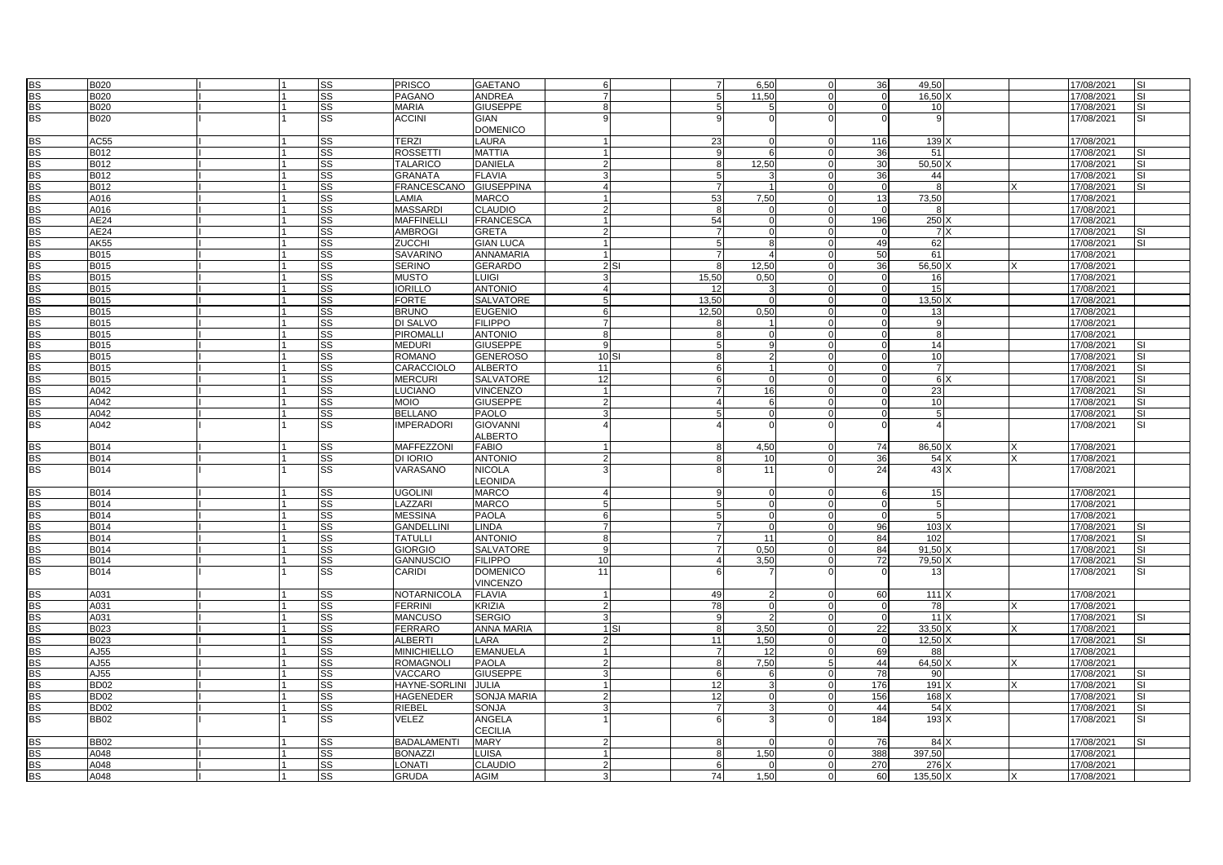| <b>BS</b>       | <b>B020</b>      |                | SS        | PRISCO             | <b>GAETANO</b>     |                |          | $\overline{7}$  | 6,50            |          | 36              | 49,50             |   | 17/08/2021 | <b>SI</b> |
|-----------------|------------------|----------------|-----------|--------------------|--------------------|----------------|----------|-----------------|-----------------|----------|-----------------|-------------------|---|------------|-----------|
| $\overline{BS}$ | B020             |                | <b>SS</b> | PAGANO             | <b>ANDREA</b>      |                |          | 5               | 11,50           |          | $\mathbf 0$     | 16,50             |   | 17/08/2021 | <b>SI</b> |
| <b>BS</b>       | B020             |                | SS        | <b>MARIA</b>       | <b>GIUSEPPE</b>    | 8              |          | 5               |                 |          | $\Omega$        | 10                |   | 17/08/2021 | <b>SI</b> |
| <b>BS</b>       | <b>B020</b>      |                | SS        | <b>ACCINI</b>      | <b>GIAN</b>        |                |          | 9               |                 |          |                 |                   |   | 17/08/2021 | <b>SI</b> |
|                 |                  |                |           |                    | <b>DOMENICO</b>    |                |          |                 |                 |          |                 |                   |   |            |           |
|                 | AC55             |                | <b>SS</b> | <b>TERZI</b>       | <b>LAURA</b>       |                |          | 23              |                 |          | 116             | 139               |   | 17/08/2021 |           |
| <b>BS</b>       |                  |                |           |                    |                    |                |          |                 |                 |          |                 |                   |   |            |           |
| <b>BS</b>       | B012             |                | SS        | ROSSETTI           | <b>MATTIA</b>      |                |          | 9               |                 |          | 36              | 51                |   | 17/08/2021 | <b>SI</b> |
| <b>BS</b>       | B012             |                | SS        | <b>TALARICO</b>    | <b>DANIELA</b>     |                |          | 8               | 12.50           | $\Omega$ | 30              | $50.50\lambda$    |   | 17/08/2021 | <b>SI</b> |
| <b>BS</b>       | B012             |                | SS        | <b>GRANATA</b>     | <b>FLAVIA</b>      |                |          | $\overline{5}$  |                 |          | 36              | 44                |   | 17/08/2021 |           |
| <b>BS</b>       | B012             |                | <b>SS</b> | <b>FRANCESCANO</b> | <b>GIUSEPPINA</b>  |                |          | $\overline{7}$  |                 |          | $\mathbf 0$     | 8                 |   | 17/08/2021 |           |
| <b>BS</b>       | A016             |                | <b>SS</b> | LAMIA              | <b>MARCO</b>       |                |          | 53              | 7,50            | $\Omega$ | 13              | 73,50             |   | 17/08/2021 |           |
| <b>BS</b>       | A016             |                | SS        | <b>MASSARDI</b>    | <b>CLAUDIO</b>     |                |          | 8               |                 |          | $\Omega$        | 8                 |   | 17/08/2021 |           |
| <b>BS</b>       | AE24             | $\overline{1}$ | <b>SS</b> | <b>MAFFINELLI</b>  | <b>FRANCESCA</b>   |                |          | 54              | $\Omega$        | $\Omega$ | 196             | 250 X             |   | 17/08/2021 |           |
| <b>BS</b>       | AE24             |                | SS        | <b>AMBROGI</b>     | <b>GRETA</b>       |                |          | $\overline{7}$  |                 |          | $\mathbf 0$     | 7x                |   | 17/08/2021 |           |
| <b>BS</b>       | <b>AK55</b>      |                | SS        | <b>ZUCCHI</b>      | <b>GIAN LUCA</b>   |                |          | 5               |                 |          | 49              | 62                |   | 17/08/2021 |           |
| <b>BS</b>       | <b>B015</b>      |                | <b>SS</b> | <b>SAVARINO</b>    | <b>ANNAMARIA</b>   |                |          | $\overline{7}$  |                 | $\Omega$ | 50              | 61                |   | 17/08/2021 |           |
| <b>BS</b>       | B015             |                | SS        | <b>SERINO</b>      | <b>GERARDO</b>     |                | 2SI      | 8               | 12,50           | ſ        | 36              | 56,50             |   | 17/08/2021 |           |
| <b>BS</b>       | B015             |                | <b>SS</b> | <b>MUSTO</b>       | <b>LUIGI</b>       |                |          | 15.50           | 0.50            | $\Omega$ | $\Omega$        | 16                |   | 17/08/2021 |           |
| <b>BS</b>       | <b>B015</b>      |                | SS        | <b>IORILLO</b>     | <b>ANTONIO</b>     |                |          | 12              |                 |          | $\Omega$        | 15                |   | 17/08/2021 |           |
| <b>BS</b>       | <b>B015</b>      |                | SS        | <b>FORTE</b>       | <b>SALVATORE</b>   |                |          | 13,50           |                 |          | $\Omega$        | 13,50             |   | 17/08/2021 |           |
| <b>BS</b>       | B015             |                | SS        | <b>BRUNO</b>       | <b>EUGENIO</b>     |                |          | 12,50           | 0,50            | $\Omega$ |                 | 13                |   | 17/08/2021 |           |
| <b>BS</b>       | B015             |                | SS        | DI SALVO           | <b>FILIPPO</b>     |                |          |                 |                 |          | $\Omega$        | $\mathbf{q}$      |   |            |           |
|                 |                  |                |           |                    |                    | $\mathsf{R}$   |          | 8               |                 | $\Omega$ |                 | $\mathsf{R}$      |   | 17/08/2021 |           |
| <b>BS</b>       | B015             |                | <b>SS</b> | PIROMALLI          | <b>ANTONIO</b>     |                |          | 8               |                 |          | $\Omega$        |                   |   | 17/08/2021 |           |
| <b>BS</b>       | <b>B015</b>      |                | SS        | <b>MEDURI</b>      | <b>GIUSEPPE</b>    |                |          | 5               |                 |          |                 | $\overline{14}$   |   | 17/08/2021 |           |
| <b>BS</b>       | B015             |                | SS        | <b>ROMANO</b>      | <b>GENEROSO</b>    | 10S            |          | 8               | 2               |          |                 | 10                |   | 17/08/2021 |           |
| <b>BS</b>       | B015             |                | <b>SS</b> | CARACCIOLO         | <b>ALBERTO</b>     | 11             |          | 6               |                 |          |                 | $\overline{7}$    |   | 17/08/2021 | SI        |
| <b>BS</b>       | B015             |                | SS        | <b>MERCURI</b>     | <b>SALVATORE</b>   | 12             |          | 6               |                 |          | $\Omega$        | 6 X               |   | 17/08/2021 | <b>SI</b> |
| <b>BS</b>       | A042             |                | SS        | LUCIANO            | <b>VINCENZO</b>    | $\overline{1}$ |          | $\overline{7}$  | 16              | $\Omega$ | $\Omega$        | 23                |   | 17/08/2021 | <b>SI</b> |
| <b>BS</b>       | A042             |                | SS        | <b>OIOM</b>        | <b>GIUSEPPE</b>    |                |          | $\overline{4}$  |                 |          |                 | 10                |   | 17/08/2021 | <b>SI</b> |
| <b>BS</b>       | A042             |                | SS        | <b>BELLANO</b>     | <b>PAOLO</b>       |                |          | 5               |                 |          |                 | 5                 |   | 17/08/2021 |           |
| <b>BS</b>       | A042             |                | <b>SS</b> | <b>IMPERADORI</b>  | <b>GIOVANNI</b>    |                |          |                 |                 |          |                 |                   |   | 17/08/2021 | <b>SI</b> |
|                 |                  |                |           |                    | <b>ALBERTO</b>     |                |          |                 |                 |          |                 |                   |   |            |           |
| <b>BS</b>       | B014             | $\overline{1}$ | SS        | MAFFEZZONI         | <b>FABIO</b>       |                |          | 8               | 4.50            | $\Omega$ | 74              | 86.50 X           | X | 17/08/2021 |           |
| <b>BS</b>       | B014             |                | SS        | DI IORIO           | <b>ANTONIO</b>     |                |          | 8               | 10              |          | 36              | 54 X              |   | 17/08/2021 |           |
| <b>BS</b>       | B014             |                | SS        | VARASANO           | <b>NICOLA</b>      |                |          | 8               | $\overline{11}$ |          | 24              | 43X               |   | 17/08/2021 |           |
|                 |                  |                |           |                    | LEONIDA            |                |          |                 |                 |          |                 |                   |   |            |           |
| <b>BS</b>       | <b>B014</b>      |                | <b>SS</b> | <b>UGOLINI</b>     | <b>MARCO</b>       |                |          | 9               |                 |          | 6               | 15                |   | 17/08/2021 |           |
| <b>BS</b>       | B014             |                | SS        | LAZZARI            | <b>MARCO</b>       | 5              |          | $5\overline{5}$ | $\Omega$        | $\Omega$ | $\Omega$        | 5                 |   | 17/08/2021 |           |
| <b>BS</b>       | B014             |                | SS        | <b>MESSINA</b>     | <b>PAOLA</b>       |                |          | 5               |                 |          | $\Omega$        | 5                 |   | 17/08/2021 |           |
|                 |                  |                |           |                    |                    |                |          |                 |                 |          |                 |                   |   |            |           |
| <b>BS</b>       | <b>B014</b>      | l 1            | SS        | <b>GANDELLINI</b>  | <b>LINDA</b>       |                |          | $\overline{7}$  | $\Omega$        |          | 96              | 103               |   | 17/08/2021 |           |
| <b>BS</b>       | <b>B014</b>      |                | SS        | <b>TATULLI</b>     | <b>ANTONIO</b>     |                |          | $\overline{7}$  | 11              |          | 84              | 102               |   | 17/08/2021 | <b>SI</b> |
| <b>BS</b>       | B014             |                | SS        | <b>GIORGIO</b>     | SALVATORE          |                |          | $\overline{7}$  | 0,50            |          | 84              | 91,50             |   | 17/08/2021 | <b>SI</b> |
| <b>BS</b>       | B014             |                | <b>SS</b> | <b>GANNUSCIO</b>   | <b>FILIPPO</b>     | 10             |          | $\overline{4}$  | 3.50            | $\Omega$ | $\overline{72}$ | 79.50             |   | 17/08/2021 | <b>SI</b> |
| <b>BS</b>       | B014             |                | SS        | CARIDI             | <b>DOMENICO</b>    | 11             |          | 6               |                 |          |                 | 13                |   | 17/08/2021 | <b>SI</b> |
|                 |                  |                |           |                    | <b>VINCENZO</b>    |                |          |                 |                 |          |                 |                   |   |            |           |
| <b>BS</b>       | A031             |                | <b>SS</b> | NOTARNICOLA        | <b>FLAVIA</b>      |                |          | 49              |                 |          | 60              | 111X              |   | 17/08/2021 |           |
| <b>BS</b>       | A031             |                | SS        | <b>FERRINI</b>     | <b>KRIZIA</b>      |                |          | 78              |                 |          | $\mathbf 0$     | 78                |   | 17/08/2021 |           |
| <b>BS</b>       | A031             |                | <b>SS</b> | <b>MANCUSO</b>     | <b>SERGIO</b>      |                |          | 9               |                 | $\Omega$ | $\mathbf{0}$    | $\overline{11}$ X |   | 17/08/2021 | <b>SI</b> |
| <b>BS</b>       | B023             |                | SS        | <b>FERRARO</b>     | <b>ANNA MARIA</b>  |                | $1$ $SI$ | 8               | 3,50            |          | 22              | $33,50$ X         |   | 17/08/2021 |           |
| <b>BS</b>       | B023             |                | SS        | <b>ALBERTI</b>     | LARA               |                |          | 11              | 1,50            |          | $\mathbf 0$     | $12,50$ >         |   | 17/08/2021 |           |
| <b>BS</b>       | AJ55             |                | <b>SS</b> | <b>MINICHIELLO</b> | <b>EMANUELA</b>    |                |          | $\overline{7}$  | 12              |          | 69              | 88                |   | 17/08/2021 |           |
| <b>BS</b>       | AJ55             |                | SS        | ROMAGNOLI          | <b>PAOLA</b>       |                |          | 8               | 7,50            |          | 44              | $64,50$ )         |   | 17/08/2021 |           |
| <b>BS</b>       | AJ55             | $\overline{1}$ | SS        | VACCARO            | <b>GIUSEPPE</b>    |                |          | 6               | 6               | $\Omega$ | 78              | 90 l              |   | 17/08/2021 | <b>SI</b> |
| <b>BS</b>       | <b>BD02</b>      |                | SS        | HAYNE-SORLINI      | <b>JULIA</b>       |                |          | 12              |                 |          | 176             | 191X              |   | 17/08/2021 | <b>SI</b> |
| <b>BS</b>       | <b>BD02</b>      |                | SS        | HAGENEDER          | <b>SONJA MARIA</b> |                |          | 12              | $\Omega$        |          | 156             | 168               |   | 17/08/2021 | <b>SI</b> |
| <b>BS</b>       | BD <sub>02</sub> |                | <b>SS</b> | RIEBEL             | <b>SONJA</b>       |                |          | $\overline{7}$  |                 |          | 44              | $54 \times$       |   | 17/08/2021 | <b>SI</b> |
| <b>BS</b>       | <b>BB02</b>      |                | <b>SS</b> | VELEZ              | ANGELA             |                |          | 6               |                 |          | 184             | 193 X             |   |            | <b>SI</b> |
|                 |                  |                |           |                    | <b>CECILIA</b>     |                |          |                 |                 |          |                 |                   |   | 17/08/2021 |           |
|                 |                  |                |           |                    |                    |                |          |                 |                 |          |                 |                   |   |            |           |
| <b>BS</b>       | <b>BB02</b>      |                | <b>SS</b> | <b>BADALAMENTI</b> | <b>MARY</b>        |                |          | 8               |                 |          | 76              | 84X               |   | 17/08/2021 | <b>SI</b> |
| <b>BS</b>       | A048             |                | SS        | <b>BONAZZI</b>     | <b>LUISA</b>       |                |          | 8               | 1,50            |          | 388             | 397,50            |   | 17/08/2021 |           |
| <b>BS</b>       | A048             |                | <b>SS</b> | LONATI             | CLAUDIO            |                |          | 6               |                 |          | 270             | 276               |   | 17/08/2021 |           |
| $\frac{55}{8}$  | A048             |                | <b>SS</b> | <b>GRUDA</b>       | <b>AGIM</b>        |                |          | 74              | 1,50            |          | 60              | 135,50 >          |   | 17/08/2021 |           |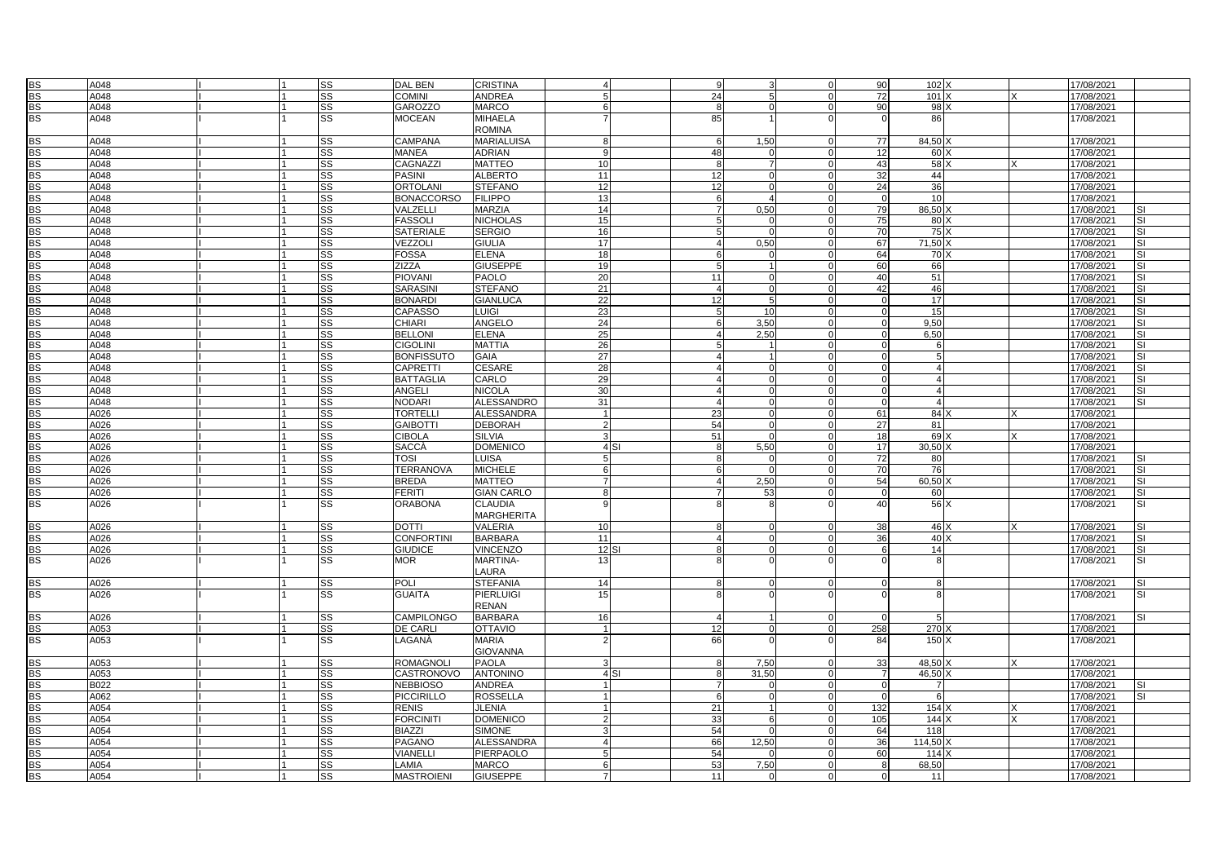| <b>BS</b>       | A048 |  | <b>SS</b> | DAL BEN           | <b>CRISTINA</b>   |                 | 9                      | 3                          | 90             | 102 X           |  | 17/08/2021 |                          |
|-----------------|------|--|-----------|-------------------|-------------------|-----------------|------------------------|----------------------------|----------------|-----------------|--|------------|--------------------------|
| <b>BS</b>       | A048 |  | SS        | <b>COMINI</b>     | <b>ANDREA</b>     |                 | 24                     | 5                          | 72             | 101 X           |  | 17/08/2021 |                          |
|                 |      |  |           |                   |                   |                 |                        |                            |                |                 |  |            |                          |
| <b>BS</b>       | A048 |  | SS        | <b>GAROZZO</b>    | <b>MARCO</b>      | 6               | 8                      | $\Omega$<br>$\Omega$       | 90             | 98 X            |  | 17/08/2021 |                          |
| <b>BS</b>       | A048 |  | SS        | <b>MOCEAN</b>     | <b>MIHAELA</b>    |                 | 85                     |                            | $\Omega$       | 86              |  | 17/08/2021 |                          |
|                 |      |  |           |                   | <b>ROMINA</b>     |                 |                        |                            |                |                 |  |            |                          |
| <b>BS</b>       | A048 |  | <b>SS</b> | CAMPANA           | <b>MARIALUISA</b> |                 | 1,50<br>6              |                            | 77             | 84,50           |  | 17/08/2021 |                          |
| <b>BS</b>       | A048 |  | SS        | <b>MANEA</b>      | <b>ADRIAN</b>     | Q               | 48                     | $\Omega$<br>$\Omega$       | 12             | 60 X            |  | 17/08/2021 |                          |
| <b>BS</b>       | A048 |  | SS        | CAGNAZZI          | <b>MATTEO</b>     | 10              | 8                      | 7 <sup>1</sup><br>$\Omega$ | 43             | 58 X            |  | 17/08/2021 |                          |
| <b>BS</b>       | A048 |  | SS        | <b>PASINI</b>     | <b>ALBERTO</b>    | 11              | 12                     | $\Omega$<br>$\Omega$       | 32             | 44              |  | 17/08/2021 |                          |
|                 |      |  |           |                   |                   |                 |                        |                            |                |                 |  |            |                          |
| <b>BS</b>       | A048 |  | <b>SS</b> | ORTOLANI          | <b>STEFANO</b>    | 12              | 12                     | $\Omega$<br>$\Omega$       | 24             | 36              |  | 17/08/2021 |                          |
| <b>BS</b>       | A048 |  | SS        | <b>BONACCORSO</b> | <b>FILIPPO</b>    | 13              | 6                      | $\Delta$                   | $\overline{0}$ | 10              |  | 17/08/2021 |                          |
| <b>BS</b>       | A048 |  | <b>SS</b> | VALZELLI          | <b>MARZIA</b>     | 14              | 0,50<br>$\overline{7}$ | $\Omega$                   | 79             | 86,50 X         |  | 17/08/2021 | <b>SI</b>                |
| <b>BS</b>       | A048 |  | <b>SS</b> | FASSOLI           | <b>NICHOLAS</b>   | 15              | 5                      | $\Omega$<br>$\Omega$       | 75             | 80 X            |  | 17/08/2021 | <b>SI</b>                |
| <b>BS</b>       | A048 |  | SS        | SATERIALE         | <b>SERGIO</b>     | 16              | 5                      | $\Omega$<br>$\Omega$       | 70             | 75 X            |  | 17/08/2021 | <b>SI</b>                |
| <b>BS</b>       | A048 |  | <b>SS</b> | VEZZOL            | <b>GIULIA</b>     | 17              | 0,50<br>$\overline{a}$ | $\Omega$                   | 67             | $71,50$ )       |  | 17/08/2021 | <b>SI</b>                |
|                 | A048 |  |           |                   |                   |                 | 6                      |                            |                | 70 <sub>x</sub> |  |            | <b>SI</b>                |
| <b>BS</b>       |      |  | SS        | <b>FOSSA</b>      | <b>ELENA</b>      | 18              |                        |                            | 64             |                 |  | 17/08/2021 |                          |
| <b>BS</b>       | A048 |  | <b>SS</b> | ZIZZA             | <b>GIUSEPPE</b>   | 19              | 5                      | $\Omega$                   | 60             | 66              |  | 17/08/2021 | SI                       |
| <b>BS</b>       | A048 |  | <b>SS</b> | PIOVANI           | <b>PAOLO</b>      | 20              | 11                     | $\Omega$<br>$\Omega$       | 40             | 51              |  | 17/08/2021 | <b>SI</b>                |
| <b>BS</b>       | A048 |  | SS        | SARASINI          | <b>STEFANO</b>    | 21              | $\overline{4}$         | $\Omega$                   | 42             | 46              |  | 17/08/2021 | <b>SI</b>                |
| <b>BS</b>       | A048 |  | <b>SS</b> | <b>BONARDI</b>    | <b>GIANLUCA</b>   | $\overline{22}$ | 12                     | 5<br>$\Omega$              | $\Omega$       | 17              |  | 17/08/2021 | <b>SI</b>                |
| <b>BS</b>       | A048 |  | SS        | CAPASSO           | LUIGI             | 23              | 5                      | 10                         | $\mathbf 0$    | 15              |  | 17/08/2021 | <b>SI</b>                |
| <b>BS</b>       | A048 |  | <b>SS</b> | CHIARI            | <b>ANGELO</b>     | 24              | 3,50<br>6              | $\Omega$                   | $\Omega$       | 9,50            |  | 17/08/2021 | SI                       |
|                 |      |  |           |                   |                   |                 |                        | $\Omega$                   |                |                 |  |            |                          |
| <b>BS</b>       | A048 |  | SS        | <b>BELLONI</b>    | <b>ELENA</b>      | 25              | $\overline{4}$<br>2,50 |                            | $\mathbf 0$    | 6,50            |  | 17/08/2021 | SI                       |
| <b>BS</b>       | A048 |  | SS        | <b>CIGOLINI</b>   | <b>MATTIA</b>     | 26              | $5\overline{5}$        | $\Omega$                   | $\Omega$       | -6              |  | 17/08/2021 | $\overline{\mathsf{SI}}$ |
| <b>BS</b>       | A048 |  | SS        | BONFISSUTO        | <b>GAIA</b>       | $\overline{27}$ | $\overline{4}$         | $\Omega$                   | $\Omega$       | 5               |  | 17/08/2021 | <b>SI</b>                |
| <b>BS</b>       | A048 |  | <b>SS</b> | CAPRETTI          | <b>CESARE</b>     | 28              | $\overline{4}$         | $\Omega$                   | $\Omega$       |                 |  | 17/08/2021 | <b>SI</b>                |
| <b>BS</b>       | A048 |  | <b>SS</b> | <b>BATTAGLIA</b>  | CARLO             | 29              | $\overline{4}$         | $\Omega$<br>$\Omega$       | $\Omega$       |                 |  | 17/08/2021 | SI                       |
| <b>BS</b>       | A048 |  | SS        | ANGELI            | <b>NICOLA</b>     | 30              | $\overline{4}$         | $\Omega$<br>$\Omega$       | $\mathbf 0$    | $\overline{4}$  |  | 17/08/2021 | <b>SI</b>                |
| <b>BS</b>       | A048 |  | SS        | NODARI            | ALESSANDRO        | 31              | $\overline{4}$         | $\Omega$<br>$\Omega$       | $\Omega$       |                 |  | 17/08/2021 | $\overline{\mathsf{S}}$  |
| <b>BS</b>       | A026 |  | SS        | TORTELL           | <b>ALESSANDRA</b> | $\overline{1}$  | 23                     | $\Omega$<br>$\Omega$       | 61             | 84)             |  | 17/08/2021 |                          |
|                 |      |  |           |                   |                   |                 |                        |                            |                |                 |  |            |                          |
| <b>BS</b>       | A026 |  | <b>SS</b> | <b>GAIBOTTI</b>   | <b>DEBORAH</b>    |                 | 54                     | $\Omega$                   | 27             | 81              |  | 17/08/2021 |                          |
| <b>BS</b>       | A026 |  | <b>SS</b> | <b>CIBOLA</b>     | <b>SILVIA</b>     |                 | 51                     | $\Omega$<br>$\Omega$       | 18             | 69 X            |  | 17/08/2021 |                          |
| <b>BS</b>       | A026 |  | SS        | SACCÀ             | <b>DOMENICO</b>   | 4 <sub>SI</sub> | 5,50<br>8              | $\Omega$                   | 17             | 30,50 X         |  | 17/08/2021 |                          |
| <b>BS</b>       | A026 |  | SS        | TOSI              | <b>LUISA</b>      | 5               | 8                      | $\Omega$<br>$\Omega$       | 72             | 80              |  | 17/08/2021 | SI                       |
| <b>BS</b>       | A026 |  | <b>SS</b> | <b>TERRANOVA</b>  | <b>MICHELE</b>    | 6               | 6                      | $\Omega$<br>$\Omega$       | 70             | 76              |  | 17/08/2021 | <b>SI</b>                |
| <b>BS</b>       | A026 |  | SS        | <b>BREDA</b>      | <b>MATTEO</b>     |                 | 2,50<br>$\overline{4}$ | $\Omega$                   | 54             | 60,50           |  | 17/08/2021 | <b>SI</b>                |
|                 |      |  |           | <b>FERITI</b>     | <b>GIAN CARLO</b> | g               | $\overline{7}$         | $\Omega$                   |                |                 |  |            |                          |
| <b>BS</b>       | A026 |  | SS        |                   |                   |                 |                        | 53                         | $\mathbf 0$    | 60              |  | 17/08/2021 | <b>SI</b>                |
| <b>BS</b>       | A026 |  | <b>SS</b> | <b>ORABONA</b>    | <b>CLAUDIA</b>    |                 | 8                      | 8                          | 40             | 56 X            |  | 17/08/2021 | SI                       |
|                 |      |  |           |                   | <b>MARGHERITA</b> |                 |                        |                            |                |                 |  |            |                          |
| <b>BS</b>       | A026 |  | <b>SS</b> | <b>DOTTI</b>      | <b>VALERIA</b>    | 10              | 8                      | $\Omega$<br>$\Omega$       | 38             | 46 X            |  | 17/08/2021 | <b>SI</b>                |
| <b>BS</b>       | A026 |  | SS        | <b>CONFORTINI</b> | <b>BARBARA</b>    | 11              | $\overline{4}$         | $\Omega$<br>$\Omega$       | 36             | 40 X            |  | 17/08/2021 | <b>SI</b>                |
| <b>BS</b>       | A026 |  | SS        | <b>GIUDICE</b>    | <b>VINCENZO</b>   | 12 SI           | 8                      | $\Omega$<br>$\Omega$       | 6              | 14              |  | 17/08/2021 | SI                       |
| <b>BS</b>       | A026 |  | SS        | MOR.              | <b>MARTINA-</b>   | 13              | 8                      | $\Omega$                   |                | -8              |  | 17/08/2021 | SI                       |
|                 |      |  |           |                   | LAURA             |                 |                        |                            |                |                 |  |            |                          |
|                 |      |  |           |                   |                   |                 |                        |                            |                |                 |  |            |                          |
| <b>BS</b>       | A026 |  | <b>SS</b> | <b>POLI</b>       | <b>STEFANIA</b>   | 14              | 8                      | $\Omega$<br>$\Omega$       | $\Omega$       | -8              |  | 17/08/2021 | <b>SI</b>                |
| <b>BS</b>       | A026 |  | <b>SS</b> | GUAITA            | <b>PIERLUIGI</b>  | 15              | 8                      |                            |                | 8               |  | 17/08/2021 | <b>SI</b>                |
|                 |      |  |           |                   | <b>RENAN</b>      |                 |                        |                            |                |                 |  |            |                          |
| <b>BS</b>       | A026 |  | <b>SS</b> | CAMPILONGO        | <b>BARBARA</b>    | 16              | $\overline{a}$         | $\mathbf{1}$<br>$\Omega$   | $\Omega$       | 5               |  | 17/08/2021 | <b>SI</b>                |
| <b>BS</b>       | A053 |  | SS        | DE CARLI          | <b>OTTAVIO</b>    |                 | 12                     | 0<br>$\Omega$              | 258            | 270 X           |  | 17/08/2021 |                          |
| <b>BS</b>       | A053 |  | SS        | LAGANÀ            | <b>MARIA</b>      |                 | 66                     | $\Omega$                   | 84             | 150 X           |  | 17/08/2021 |                          |
|                 |      |  |           |                   |                   |                 |                        |                            |                |                 |  |            |                          |
|                 |      |  |           |                   | <b>GIOVANNA</b>   |                 |                        |                            |                |                 |  |            |                          |
| <b>BS</b>       | A053 |  | <b>SS</b> | ROMAGNOLI         | <b>PAOLA</b>      |                 | 7,50<br>8              | $\Omega$                   | 33             | 48,50 X         |  | 17/08/2021 |                          |
| <b>BS</b>       | A053 |  | <b>SS</b> | CASTRONOVO        | <b>ANTONINO</b>   | 4S1             | 31.50<br>8             | $\Omega$                   | $\overline{7}$ | 46.50 X         |  | 17/08/2021 |                          |
| <b>BS</b>       | B022 |  | SS        | <b>NEBBIOSO</b>   | ANDREA            |                 | $\overline{7}$         | $\Omega$                   | $\overline{0}$ | $\overline{7}$  |  | 17/08/2021 | <b>SI</b>                |
| <b>BS</b>       | A062 |  | SS        | PICCIRILLO        | <b>ROSSELLA</b>   |                 | 6                      | $\Omega$<br>$\Omega$       | $\Omega$       | 6               |  | 17/08/2021 | <b>SI</b>                |
| <b>BS</b>       | A054 |  | <b>SS</b> | <b>RENIS</b>      | <b>JLENIA</b>     |                 | 21                     | $\mathbf{1}$<br>$\Omega$   | 132            | 154)            |  | 17/08/2021 |                          |
|                 |      |  |           |                   |                   |                 |                        | $\Omega$                   |                |                 |  |            |                          |
| <b>BS</b>       | A054 |  | SS        | <b>FORCINITI</b>  | <b>DOMENICO</b>   |                 | 33                     | 6                          | 105            | 144)            |  | 17/08/2021 |                          |
| <b>BS</b>       | A054 |  | <b>SS</b> | <b>BIAZZI</b>     | <b>SIMONE</b>     |                 | 54                     | $\Omega$<br>$\Omega$       | 64             | 118             |  | 17/08/2021 |                          |
| <b>BS</b>       | A054 |  | <b>SS</b> | PAGANO            | <b>ALESSANDRA</b> |                 | 12,50<br>66            |                            | 36             | $114,50$ )      |  | 17/08/2021 |                          |
| <b>BS</b>       | A054 |  | SS        | VIANELLI          | PIERPAOLO         |                 | 54                     | $\Omega$<br>$\Omega$       | 60             | 114             |  | 17/08/2021 |                          |
| <b>BS</b>       | A054 |  | <b>SS</b> | LAMIA             | <b>MARCO</b>      |                 | 53<br>7,50             |                            | 8              | 68.50           |  | 17/08/2021 |                          |
| $\overline{BS}$ | A054 |  | SS        | MASTROIENI        | <b>GIUSEPPE</b>   |                 | 11                     | $\Omega$<br>$\Omega$       | $\mathbf 0$    | 11              |  | 17/08/2021 |                          |
|                 |      |  |           |                   |                   |                 |                        |                            |                |                 |  |            |                          |